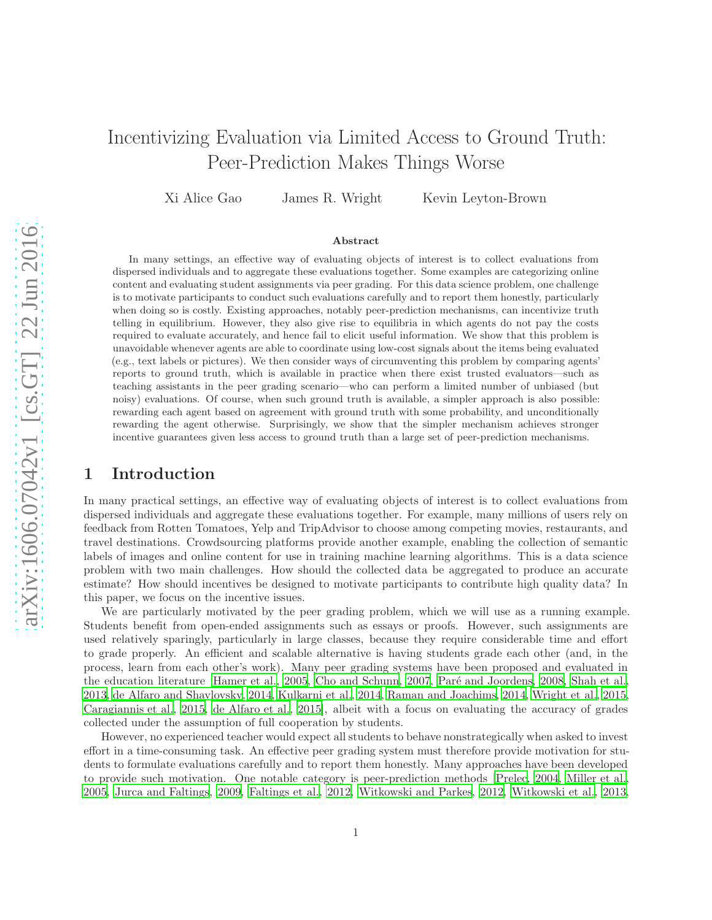# Incentivizing Evaluation via Limited Access to Ground Truth: Peer-Prediction Makes Things Worse

Xi Alice Gao James R. Wright Kevin Leyton-Brown

#### Abstract

In many settings, an effective way of evaluating objects of interest is to collect evaluations from dispersed individuals and to aggregate these evaluations together. Some examples are categorizing online content and evaluating student assignments via peer grading. For this data science problem, one challenge is to motivate participants to conduct such evaluations carefully and to report them honestly, particularly when doing so is costly. Existing approaches, notably peer-prediction mechanisms, can incentivize truth telling in equilibrium. However, they also give rise to equilibria in which agents do not pay the costs required to evaluate accurately, and hence fail to elicit useful information. We show that this problem is unavoidable whenever agents are able to coordinate using low-cost signals about the items being evaluated (e.g., text labels or pictures). We then consider ways of circumventing this problem by comparing agents' reports to ground truth, which is available in practice when there exist trusted evaluators—such as teaching assistants in the peer grading scenario—who can perform a limited number of unbiased (but noisy) evaluations. Of course, when such ground truth is available, a simpler approach is also possible: rewarding each agent based on agreement with ground truth with some probability, and unconditionally rewarding the agent otherwise. Surprisingly, we show that the simpler mechanism achieves stronger incentive guarantees given less access to ground truth than a large set of peer-prediction mechanisms.

#### 1 Introduction

In many practical settings, an effective way of evaluating objects of interest is to collect evaluations from dispersed individuals and aggregate these evaluations together. For example, many millions of users rely on feedback from Rotten Tomatoes, Yelp and TripAdvisor to choose among competing movies, restaurants, and travel destinations. Crowdsourcing platforms provide another example, enabling the collection of semantic labels of images and online content for use in training machine learning algorithms. This is a data science problem with two main challenges. How should the collected data be aggregated to produce an accurate estimate? How should incentives be designed to motivate participants to contribute high quality data? In this paper, we focus on the incentive issues.

We are particularly motivated by the peer grading problem, which we will use as a running example. Students benefit from open-ended assignments such as essays or proofs. However, such assignments are used relatively sparingly, particularly in large classes, because they require considerable time and effort to grade properly. An efficient and scalable alternative is having students grade each other (and, in the process, learn from each other's work). Many peer grading systems have been proposed and evaluated in the education literature [\[Hamer et al., 2005,](#page-10-0) [Cho and Schunn](#page-9-0), [2007](#page-9-0), Paré and Joordens, [2008,](#page-10-1) [Shah et al.,](#page-11-0) [2013,](#page-11-0) [de Alfaro and Shavlovsky, 2014,](#page-9-1) [Kulkarni et al., 2014,](#page-10-2) [Raman and Joachims, 2014](#page-10-3), [Wright et al.](#page-11-1), [2015,](#page-11-1) [Caragiannis et al.](#page-9-2), [2015](#page-9-2), [de Alfaro et al.](#page-9-3), [2015](#page-9-3)], albeit with a focus on evaluating the accuracy of grades collected under the assumption of full cooperation by students.

However, no experienced teacher would expect all students to behave nonstrategically when asked to invest effort in a time-consuming task. An effective peer grading system must therefore provide motivation for students to formulate evaluations carefully and to report them honestly. Many approaches have been developed to provide such motivation. One notable category is peer-prediction methods [\[Prelec](#page-10-4), [2004,](#page-10-4) [Miller et al.,](#page-10-5) [2005,](#page-10-5) [Jurca and Faltings](#page-10-6), [2009](#page-10-6), [Faltings et al.](#page-9-4), [2012,](#page-9-4) [Witkowski and](#page-11-2) Parkes, [2012](#page-11-2), [Witkowski et al., 2013,](#page-11-3)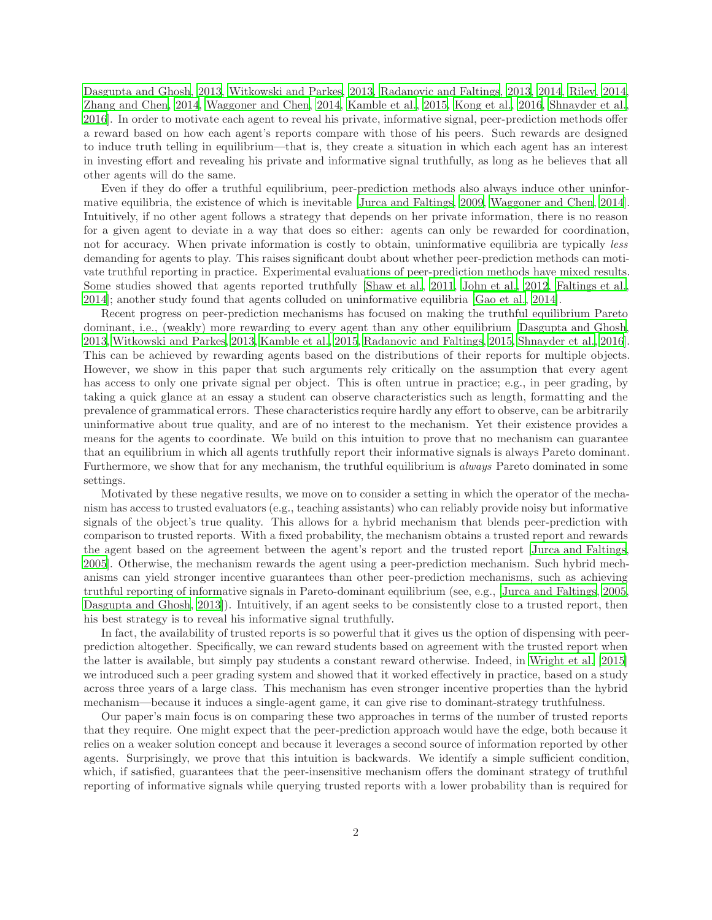[Dasgupta and Ghosh, 2013,](#page-9-5) [Witkowski and Parkes](#page-11-4), [2013,](#page-11-4) [Radanovic and Faltings, 2013,](#page-10-7) [2014,](#page-10-8) [Riley](#page-10-9), [2014,](#page-10-9) [Zhang and Chen](#page-11-5), [2014,](#page-11-5) [Waggoner and Chen](#page-11-6), [2014,](#page-11-6) [Kamble et al.](#page-10-10), [2015,](#page-10-10) [Kong et al., 2016](#page-10-11), [Shnayder et al.,](#page-11-7) [2016\]](#page-11-7). In order to motivate each agent to reveal his private, informative signal, peer-prediction methods offer a reward based on how each agent's reports compare with those of his peers. Such rewards are designed to induce truth telling in equilibrium—that is, they create a situation in which each agent has an interest in investing effort and revealing his private and informative signal truthfully, as long as he believes that all other agents will do the same.

Even if they do offer a truthful equilibrium, peer-prediction methods also always induce other uninformative equilibria, the existence of which is inevitable [\[Jurca and Faltings, 2009,](#page-10-6) [Waggoner and Chen](#page-11-6), [2014\]](#page-11-6). Intuitively, if no other agent follows a strategy that depends on her private information, there is no reason for a given agent to deviate in a way that does so either: agents can only be rewarded for coordination, not for accuracy. When private information is costly to obtain, uninformative equilibria are typically *less* demanding for agents to play. This raises significant doubt about whether peer-prediction methods can motivate truthful reporting in practice. Experimental evaluations of peer-prediction methods have mixed results. Some studies showed that agents reported truthfully [\[Shaw et al.](#page-11-8), [2011,](#page-11-8) [John et al.](#page-10-12), [2012,](#page-10-12) [Faltings et al.,](#page-10-13) [2014\]](#page-10-13); another study found that agents colluded on uninformative equilibria [\[Gao et al., 2014\]](#page-10-14).

Recent progress on peer-prediction mechanisms has focused on making the truthful equilibrium Pareto dominant, i.e., (weakly) more rewarding to every agent than any other equilibrium [\[Dasgupta and Ghosh,](#page-9-5) [2013,](#page-9-5) [Witkowski and Parkes, 2013,](#page-11-4) [Kamble et al., 2015,](#page-10-10) [Radanovic and Faltings, 2015,](#page-10-15) [Shnayder et al.](#page-11-7), [2016\]](#page-11-7). This can be achieved by rewarding agents based on the distributions of their reports for multiple objects. However, we show in this paper that such arguments rely critically on the assumption that every agent has access to only one private signal per object. This is often untrue in practice; e.g., in peer grading, by taking a quick glance at an essay a student can observe characteristics such as length, formatting and the prevalence of grammatical errors. These characteristics require hardly any effort to observe, can be arbitrarily uninformative about true quality, and are of no interest to the mechanism. Yet their existence provides a means for the agents to coordinate. We build on this intuition to prove that no mechanism can guarantee that an equilibrium in which all agents truthfully report their informative signals is always Pareto dominant. Furthermore, we show that for any mechanism, the truthful equilibrium is always Pareto dominated in some settings.

Motivated by these negative results, we move on to consider a setting in which the operator of the mechanism has access to trusted evaluators (e.g., teaching assistants) who can reliably provide noisy but informative signals of the object's true quality. This allows for a hybrid mechanism that blends peer-prediction with comparison to trusted reports. With a fixed probability, the mechanism obtains a trusted report and rewards the agent based on the agreement between the agent's report and the trusted report [\[Jurca and Faltings,](#page-10-16) [2005\]](#page-10-16). Otherwise, the mechanism rewards the agent using a peer-prediction mechanism. Such hybrid mechanisms can yield stronger incentive guarantees than other peer-prediction mechanisms, such as achieving truthful reporting of informative signals in Pareto-dominant equilibrium (see, e.g., [\[Jurca and Faltings](#page-10-16), [2005,](#page-10-16) [Dasgupta and Ghosh, 2013\]](#page-9-5)). Intuitively, if an agent seeks to be consistently close to a trusted report, then his best strategy is to reveal his informative signal truthfully.

In fact, the availability of trusted reports is so powerful that it gives us the option of dispensing with peerprediction altogether. Specifically, we can reward students based on agreement with the trusted report when the latter is available, but simply pay students a constant reward otherwise. Indeed, in [Wright et al. \[2015](#page-11-1)] we introduced such a peer grading system and showed that it worked effectively in practice, based on a study across three years of a large class. This mechanism has even stronger incentive properties than the hybrid mechanism—because it induces a single-agent game, it can give rise to dominant-strategy truthfulness.

Our paper's main focus is on comparing these two approaches in terms of the number of trusted reports that they require. One might expect that the peer-prediction approach would have the edge, both because it relies on a weaker solution concept and because it leverages a second source of information reported by other agents. Surprisingly, we prove that this intuition is backwards. We identify a simple sufficient condition, which, if satisfied, guarantees that the peer-insensitive mechanism offers the dominant strategy of truthful reporting of informative signals while querying trusted reports with a lower probability than is required for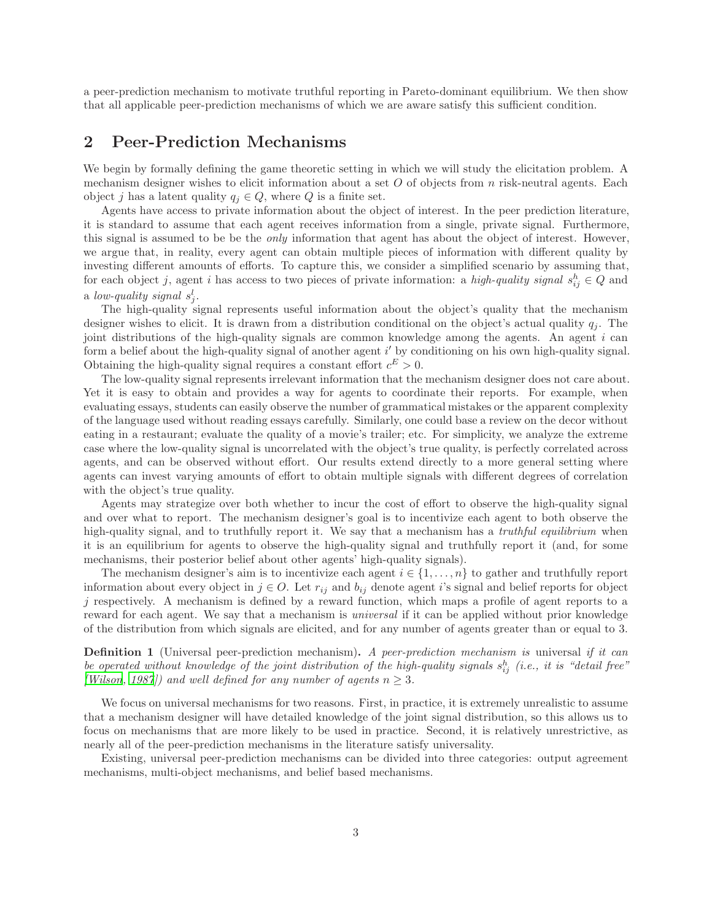a peer-prediction mechanism to motivate truthful reporting in Pareto-dominant equilibrium. We then show that all applicable peer-prediction mechanisms of which we are aware satisfy this sufficient condition.

### 2 Peer-Prediction Mechanisms

We begin by formally defining the game theoretic setting in which we will study the elicitation problem. A mechanism designer wishes to elicit information about a set  $O$  of objects from n risk-neutral agents. Each object j has a latent quality  $q_j \in Q$ , where Q is a finite set.

Agents have access to private information about the object of interest. In the peer prediction literature, it is standard to assume that each agent receives information from a single, private signal. Furthermore, this signal is assumed to be be the *only* information that agent has about the object of interest. However, we argue that, in reality, every agent can obtain multiple pieces of information with different quality by investing different amounts of efforts. To capture this, we consider a simplified scenario by assuming that, for each object j, agent i has access to two pieces of private information: a high-quality signal  $s_{ij}^h \in Q$  and a low-quality signal  $s_j^l$ .

The high-quality signal represents useful information about the object's quality that the mechanism designer wishes to elicit. It is drawn from a distribution conditional on the object's actual quality  $q_i$ . The joint distributions of the high-quality signals are common knowledge among the agents. An agent i can form a belief about the high-quality signal of another agent  $i'$  by conditioning on his own high-quality signal. Obtaining the high-quality signal requires a constant effort  $c^E > 0$ .

The low-quality signal represents irrelevant information that the mechanism designer does not care about. Yet it is easy to obtain and provides a way for agents to coordinate their reports. For example, when evaluating essays, students can easily observe the number of grammatical mistakes or the apparent complexity of the language used without reading essays carefully. Similarly, one could base a review on the decor without eating in a restaurant; evaluate the quality of a movie's trailer; etc. For simplicity, we analyze the extreme case where the low-quality signal is uncorrelated with the object's true quality, is perfectly correlated across agents, and can be observed without effort. Our results extend directly to a more general setting where agents can invest varying amounts of effort to obtain multiple signals with different degrees of correlation with the object's true quality.

Agents may strategize over both whether to incur the cost of effort to observe the high-quality signal and over what to report. The mechanism designer's goal is to incentivize each agent to both observe the high-quality signal, and to truthfully report it. We say that a mechanism has a *truthful equilibrium* when it is an equilibrium for agents to observe the high-quality signal and truthfully report it (and, for some mechanisms, their posterior belief about other agents' high-quality signals).

The mechanism designer's aim is to incentivize each agent  $i \in \{1, \ldots, n\}$  to gather and truthfully report information about every object in  $j \in O$ . Let  $r_{ij}$  and  $b_{ij}$  denote agent i's signal and belief reports for object  $j$  respectively. A mechanism is defined by a reward function, which maps a profile of agent reports to a reward for each agent. We say that a mechanism is universal if it can be applied without prior knowledge of the distribution from which signals are elicited, and for any number of agents greater than or equal to 3.

<span id="page-2-0"></span>**Definition 1** (Universal peer-prediction mechanism). A peer-prediction mechanism is universal if it can be operated without knowledge of the joint distribution of the high-quality signals  $s_{ij}^h$  (i.e., it is "detail free" [\[Wilson](#page-11-9), [1987](#page-11-9)]) and well defined for any number of agents  $n \geq 3$ .

We focus on universal mechanisms for two reasons. First, in practice, it is extremely unrealistic to assume that a mechanism designer will have detailed knowledge of the joint signal distribution, so this allows us to focus on mechanisms that are more likely to be used in practice. Second, it is relatively unrestrictive, as nearly all of the peer-prediction mechanisms in the literature satisfy universality.

Existing, universal peer-prediction mechanisms can be divided into three categories: output agreement mechanisms, multi-object mechanisms, and belief based mechanisms.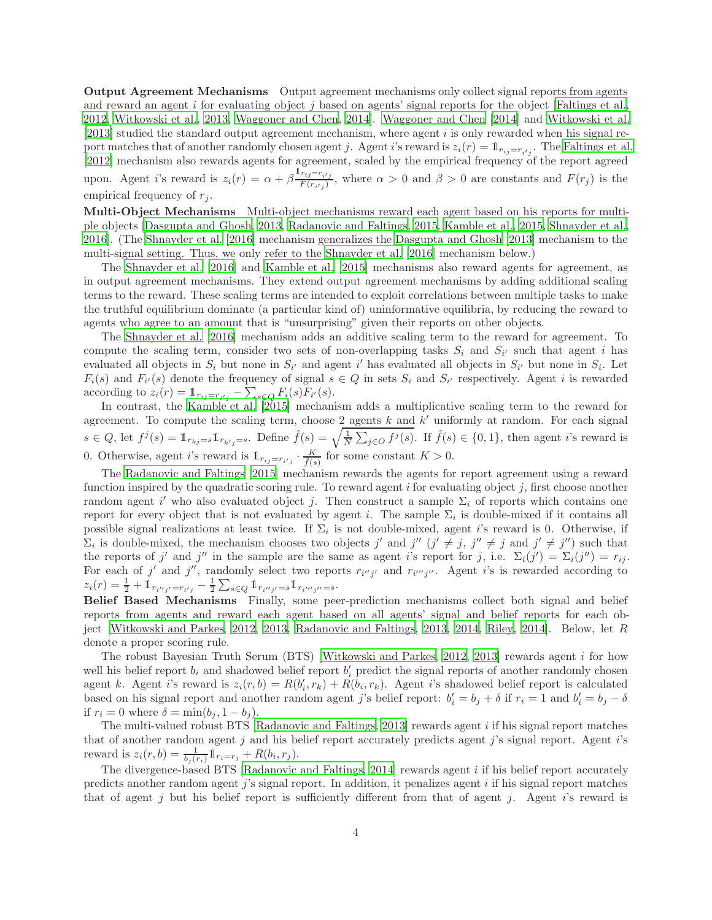Output Agreement Mechanisms Output agreement mechanisms only collect signal reports from agents and reward an agent i for evaluating object j based on agents' signal reports for the object [\[Faltings et al.,](#page-9-4) [2012,](#page-9-4) [Witkowski et al.](#page-11-3), [2013,](#page-11-3) [Waggoner and Chen](#page-11-6), [2014\]](#page-11-6). [Waggoner](#page-11-6) and Chen [\[2014](#page-11-6)] and [Witkowski et al.](#page-11-3) [\[2013\]](#page-11-3) studied the standard output agreement mechanism, where agent i is only rewarded when his signal report matches that of another randomly chosen agent j. Agent i's reward is  $z_i(r) = \mathbb{1}_{r_{ij}=r_{i'j}}$ . The [Faltings et al.](#page-9-4) [\[2012\]](#page-9-4) mechanism also rewards agents for agreement, scaled by the empirical frequency of the report agreed upon. Agent *i*'s reward is  $z_i(r) = \alpha + \beta \frac{\mathbb{1}_{r_{ij}=r_{i'j}}}{F(r_{i,j})}$  $\frac{r_{ij}-r_{i'j}}{F(r_{i'j})}$ , where  $\alpha > 0$  and  $\beta > 0$  are constants and  $F(r_j)$  is the empirical frequency of  $r_i$ .

Multi-Object Mechanisms Multi-object mechanisms reward each agent based on his reports for multiple objects [\[Dasgupta and Ghosh](#page-9-5), [2013](#page-9-5), [Radanovic and Faltings, 2015,](#page-10-15) [Kamble et al.](#page-10-10), [2015,](#page-10-10) [Shnayder et al.,](#page-11-7) [2016\]](#page-11-7). (The [Shnayder et al. \[2016](#page-11-7)] mechanism generalizes the [Dasgupta and Ghosh \[2013\]](#page-9-5) mechanism to the multi-signal setting. Thus, we only refer to the [Shnayder et al. \[2016](#page-11-7)] mechanism below.)

The [Shnayder et al. \[2016\]](#page-11-7) and [Kamble et al. \[2015](#page-10-10)] mechanisms also reward agents for agreement, as in output agreement mechanisms. They extend output agreement mechanisms by adding additional scaling terms to the reward. These scaling terms are intended to exploit correlations between multiple tasks to make the truthful equilibrium dominate (a particular kind of) uninformative equilibria, by reducing the reward to agents who agree to an amount that is "unsurprising" given their reports on other objects.

The [Shnayder et al. \[2016\]](#page-11-7) mechanism adds an additive scaling term to the reward for agreement. To compute the scaling term, consider two sets of non-overlapping tasks  $S_i$  and  $S_{i'}$  such that agent i has evaluated all objects in  $S_i$  but none in  $S_{i'}$  and agent i' has evaluated all objects in  $S_{i'}$  but none in  $S_i$ . Let  $F_i(s)$  and  $F_{i'}(s)$  denote the frequency of signal  $s \in Q$  in sets  $S_i$  and  $S_{i'}$  respectively. Agent i is rewarded according to  $z_i(r) = \mathbb{1}_{r_{ij}=r_{i'j}} - \sum_{s \in Q} F_i(s) F_{i'}(s)$ .

In contrast, the [Kamble et al. \[2015](#page-10-10)] mechanism adds a multiplicative scaling term to the reward for agreement. To compute the scaling term, choose 2 agents  $k$  and  $k'$  uniformly at random. For each signal  $s \in Q$ , let  $f^j(s) = 1$ <sub>rkj</sub>=s. Define  $\hat{f}(s) = \sqrt{\frac{1}{N} \sum_{j \in O} f^j(s)}$ . If  $\hat{f}(s) \in \{0,1\}$ , then agent *i*'s reward is 0. Otherwise, agent *i*'s reward is  $1_{r_{ij}=r_{i'j}} \cdot \frac{K}{\hat{f}(s)}$  for some constant  $K > 0$ .

The [Radanovic and Faltings \[2015\]](#page-10-15) mechanism rewards the agents for report agreement using a reward function inspired by the quadratic scoring rule. To reward agent  $i$  for evaluating object  $j$ , first choose another random agent i' who also evaluated object j. Then construct a sample  $\Sigma_i$  of reports which contains one report for every object that is not evaluated by agent i. The sample  $\Sigma_i$  is double-mixed if it contains all possible signal realizations at least twice. If  $\Sigma_i$  is not double-mixed, agent *i*'s reward is 0. Otherwise, if  $\Sigma_i$  is double-mixed, the mechanism chooses two objects j' and j'' (j'  $\neq j$ , j''  $\neq j$  and j'  $\neq j'$ ) such that the reports of j' and j'' in the sample are the same as agent i's report for j, i.e.  $\Sigma_i(j') = \Sigma_i(j'') = r_{ij}$ . For each of j' and j'', randomly select two reports  $r_{i''j'}$  and  $r_{i''j''}$ . Agent i's is rewarded according to  $z_i(r) = \frac{1}{2} + \mathbb{1}_{r_{i'j'} = r_{i'j}} - \frac{1}{2}\sum_{s \in Q}\mathbb{1}_{r_{i''j'} = s}\mathbb{1}_{r_{i'''j''} = s}.$ 

Belief Based Mechanisms Finally, some peer-prediction mechanisms collect both signal and belief reports from agents and reward each agent based on all agents' signal and belief reports for each object [\[Witkowski and Parkes, 2012,](#page-11-2) [2013,](#page-11-4) [Radanovic and Faltings, 2013,](#page-10-7) [2014,](#page-10-8) [Riley, 2014\]](#page-10-9). Below, let R denote a proper scoring rule.

The robust Bayesian Truth Serum (BTS) [\[Witkowski and Parkes, 2012](#page-11-2), [2013\]](#page-11-4) rewards agent i for how well his belief report  $b_i$  and shadowed belief report  $b'_i$  predict the signal reports of another randomly chosen agent k. Agent i's reward is  $z_i(r, b) = R(b'_i, r_k) + R(b_i, r_k)$ . Agent i's shadowed belief report is calculated based on his signal report and another random agent j's belief report:  $b'_i = b_j + \delta$  if  $r_i = 1$  and  $b'_i = b_j - \delta$ if  $r_i = 0$  where  $\delta = \min(b_j, 1 - b_j)$ .

The multi-valued robust BTS [\[Radanovic and Faltings, 2013\]](#page-10-7) rewards agent  $i$  if his signal report matches that of another random agent j and his belief report accurately predicts agent j's signal report. Agent  $i$ 's reward is  $z_i(r, b) = \frac{1}{b_j(r_i)} \mathbb{1}_{r_i = r_j} + R(b_i, r_j)$ .

The divergence-based BTS [\[Radanovic and Faltings](#page-10-8), [2014\]](#page-10-8) rewards agent  $i$  if his belief report accurately predicts another random agent j's signal report. In addition, it penalizes agent  $i$  if his signal report matches that of agent j but his belief report is sufficiently different from that of agent j. Agent  $i$ 's reward is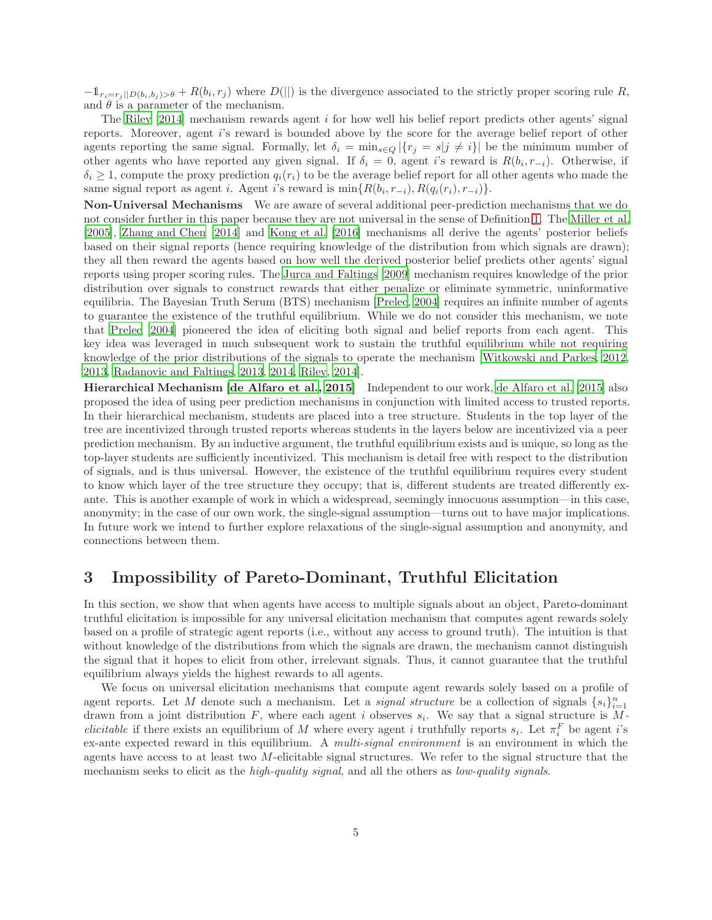$-1_{r_i=r_j||D(b_i,b_j)>\theta}+R(b_i,r_j)$  where  $D(||)$  is the divergence associated to the strictly proper scoring rule R, and  $\theta$  is a parameter of the mechanism.

The Riley  $[2014]$  mechanism rewards agent i for how well his belief report predicts other agents' signal reports. Moreover, agent i's reward is bounded above by the score for the average belief report of other agents reporting the same signal. Formally, let  $\delta_i = \min_{s \in Q} |\{r_j = s | j \neq i\}|$  be the minimum number of other agents who have reported any given signal. If  $\delta_i = 0$ , agent i's reward is  $R(b_i, r_{-i})$ . Otherwise, if  $\delta_i \geq 1$ , compute the proxy prediction  $q_i(r_i)$  to be the average belief report for all other agents who made the same signal report as agent *i*. Agent *i*'s reward is  $\min\{R(b_i, r_{-i}), R(q_i(r_i), r_{-i})\}.$ 

Non-Universal Mechanisms We are aware of several additional peer-prediction mechanisms that we do not consider further in this paper because they are not universal in the sense of Definition [1.](#page-2-0) The [Miller et al.](#page-10-5) [\[2005\]](#page-10-5), [Zhang and Chen \[2014\]](#page-11-5) and [Kong et al. \[2016\]](#page-10-11) mechanisms all derive the agents' posterior beliefs based on their signal reports (hence requiring knowledge of the distribution from which signals are drawn); they all then reward the agents based on how well the derived posterior belief predicts other agents' signal reports using proper scoring rules. The [Jurca and Faltings \[2009\]](#page-10-6) mechanism requires knowledge of the prior distribution over signals to construct rewards that either penalize or eliminate symmetric, uninformative equilibria. The Bayesian Truth Serum (BTS) mechanism [\[Prelec, 2004](#page-10-4)] requires an infinite number of agents to guarantee the existence of the truthful equilibrium. While we do not consider this mechanism, we note that [Prelec \[2004\]](#page-10-4) pioneered the idea of eliciting both signal and belief reports from each agent. This key idea was leveraged in much subsequent work to sustain the truthful equilibrium while not requiring knowledge of the prior distributions of the signals to operate the mechanism [\[Witkowski and Parkes, 2012,](#page-11-2) [2013,](#page-11-4) [Radanovic and Faltings, 2013,](#page-10-7) [2014,](#page-10-8) [Riley](#page-10-9), [2014](#page-10-9)].

Hierarchical Mechanism [\[de Alfaro et al., 2015\]](#page-9-3) Independent to our work, [de Alfaro et al. \[2015](#page-9-3)] also proposed the idea of using peer prediction mechanisms in conjunction with limited access to trusted reports. In their hierarchical mechanism, students are placed into a tree structure. Students in the top layer of the tree are incentivized through trusted reports whereas students in the layers below are incentivized via a peer prediction mechanism. By an inductive argument, the truthful equilibrium exists and is unique, so long as the top-layer students are sufficiently incentivized. This mechanism is detail free with respect to the distribution of signals, and is thus universal. However, the existence of the truthful equilibrium requires every student to know which layer of the tree structure they occupy; that is, different students are treated differently exante. This is another example of work in which a widespread, seemingly innocuous assumption—in this case, anonymity; in the case of our own work, the single-signal assumption—turns out to have major implications. In future work we intend to further explore relaxations of the single-signal assumption and anonymity, and connections between them.

### <span id="page-4-0"></span>3 Impossibility of Pareto-Dominant, Truthful Elicitation

In this section, we show that when agents have access to multiple signals about an object, Pareto-dominant truthful elicitation is impossible for any universal elicitation mechanism that computes agent rewards solely based on a profile of strategic agent reports (i.e., without any access to ground truth). The intuition is that without knowledge of the distributions from which the signals are drawn, the mechanism cannot distinguish the signal that it hopes to elicit from other, irrelevant signals. Thus, it cannot guarantee that the truthful equilibrium always yields the highest rewards to all agents.

We focus on universal elicitation mechanisms that compute agent rewards solely based on a profile of agent reports. Let M denote such a mechanism. Let a *signal structure* be a collection of signals  $\{s_i\}_{i=1}^n$ drawn from a joint distribution  $F$ , where each agent i observes  $s_i$ . We say that a signal structure is  $M$ elicitable if there exists an equilibrium of M where every agent i truthfully reports  $s_i$ . Let  $\pi_i^F$  be agent i's ex-ante expected reward in this equilibrium. A multi-signal environment is an environment in which the agents have access to at least two M-elicitable signal structures. We refer to the signal structure that the mechanism seeks to elicit as the *high-quality signal*, and all the others as *low-quality signals*.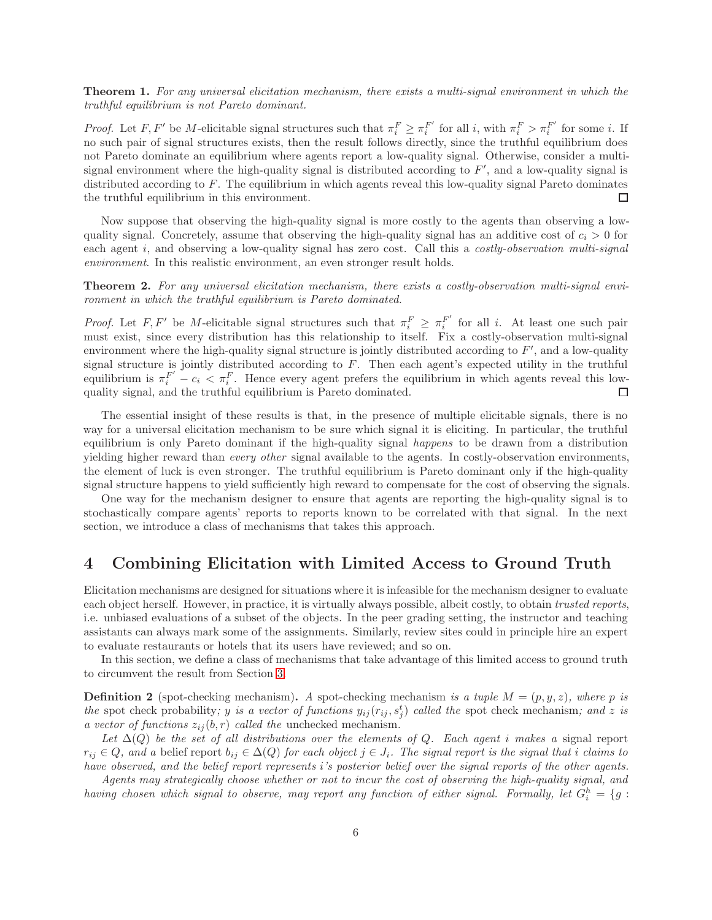Theorem 1. For any universal elicitation mechanism, there exists a multi-signal environment in which the truthful equilibrium is not Pareto dominant.

*Proof.* Let  $F, F'$  be M-elicitable signal structures such that  $\pi_i^F \geq \pi_i^{F'}$  $f_i^{F'}$  for all *i*, with  $\pi_i^F > \pi_i^{F'}$  $i^{\mu}$  for some *i*. If no such pair of signal structures exists, then the result follows directly, since the truthful equilibrium does not Pareto dominate an equilibrium where agents report a low-quality signal. Otherwise, consider a multisignal environment where the high-quality signal is distributed according to  $F'$ , and a low-quality signal is distributed according to F. The equilibrium in which agents reveal this low-quality signal Pareto dominates the truthful equilibrium in this environment.  $\Box$ 

Now suppose that observing the high-quality signal is more costly to the agents than observing a lowquality signal. Concretely, assume that observing the high-quality signal has an additive cost of  $c_i > 0$  for each agent i, and observing a low-quality signal has zero cost. Call this a costly-observation multi-signal environment. In this realistic environment, an even stronger result holds.

Theorem 2. For any universal elicitation mechanism, there exists a costly-observation multi-signal environment in which the truthful equilibrium is Pareto dominated.

*Proof.* Let F, F' be M-elicitable signal structures such that  $\pi_i^F \geq \pi_i^{F'}$  $i<sup>F</sup>$  for all i. At least one such pair must exist, since every distribution has this relationship to itself. Fix a costly-observation multi-signal environment where the high-quality signal structure is jointly distributed according to  $F'$ , and a low-quality signal structure is jointly distributed according to F. Then each agent's expected utility in the truthful equilibrium is  $\pi_i^{F'} - c_i < \pi_i^F$ . Hence every agent prefers the equilibrium in which agents reveal this lowquality signal, and the truthful equilibrium is Pareto dominated.  $\Box$ 

The essential insight of these results is that, in the presence of multiple elicitable signals, there is no way for a universal elicitation mechanism to be sure which signal it is eliciting. In particular, the truthful equilibrium is only Pareto dominant if the high-quality signal happens to be drawn from a distribution yielding higher reward than every other signal available to the agents. In costly-observation environments, the element of luck is even stronger. The truthful equilibrium is Pareto dominant only if the high-quality signal structure happens to yield sufficiently high reward to compensate for the cost of observing the signals.

One way for the mechanism designer to ensure that agents are reporting the high-quality signal is to stochastically compare agents' reports to reports known to be correlated with that signal. In the next section, we introduce a class of mechanisms that takes this approach.

### 4 Combining Elicitation with Limited Access to Ground Truth

Elicitation mechanisms are designed for situations where it is infeasible for the mechanism designer to evaluate each object herself. However, in practice, it is virtually always possible, albeit costly, to obtain *trusted reports*, i.e. unbiased evaluations of a subset of the objects. In the peer grading setting, the instructor and teaching assistants can always mark some of the assignments. Similarly, review sites could in principle hire an expert to evaluate restaurants or hotels that its users have reviewed; and so on.

In this section, we define a class of mechanisms that take advantage of this limited access to ground truth to circumvent the result from Section [3.](#page-4-0)

**Definition 2** (spot-checking mechanism). A spot-checking mechanism is a tuple  $M = (p, y, z)$ , where p is the spot check probability; y is a vector of functions  $y_{ij}(r_{ij}, s_j^t)$  called the spot check mechanism; and z is a vector of functions  $z_{ij}(b, r)$  called the unchecked mechanism.

Let  $\Delta(Q)$  be the set of all distributions over the elements of Q. Each agent i makes a signal report  $r_{ij} \in Q$ , and a belief report  $b_{ij} \in \Delta(Q)$  for each object  $j \in J_i$ . The signal report is the signal that i claims to have observed, and the belief report represents i's posterior belief over the signal reports of the other agents.

Agents may strategically choose whether or not to incur the cost of observing the high-quality signal, and having chosen which signal to observe, may report any function of either signal. Formally, let  $G_i^h = \{g :$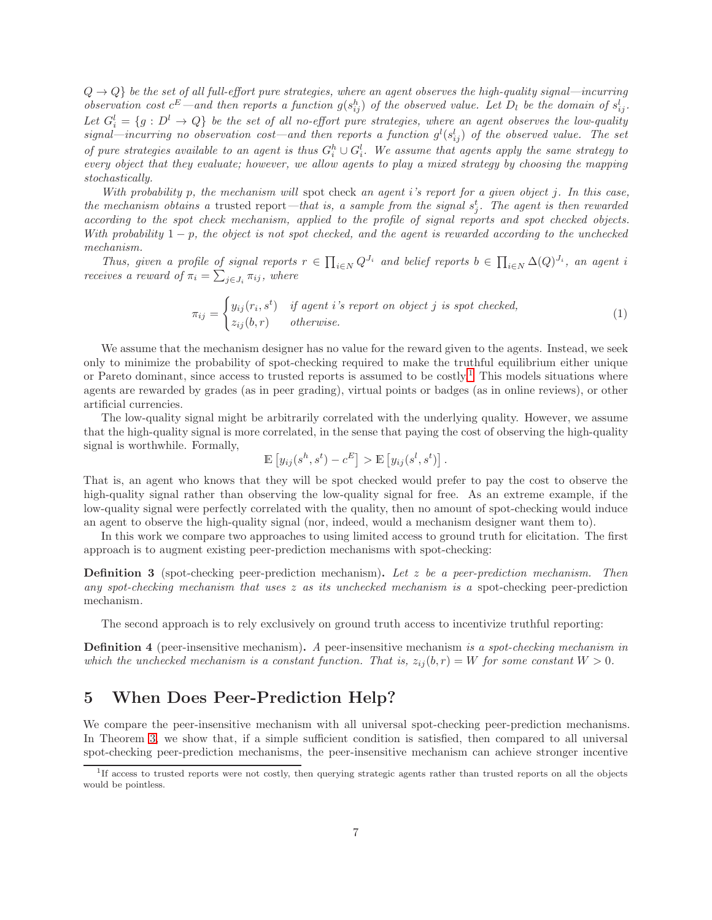$Q \rightarrow Q$  be the set of all full-effort pure strategies, where an agent observes the high-quality signal—incurring observation cost  $c^E$  —and then reports a function  $g(s_{ij}^h)$  of the observed value. Let  $D_l$  be the domain of  $s_{ij}^l$ . Let  $G_i^l = \{g : D^l \to Q\}$  be the set of all no-effort pure strategies, where an agent observes the low-quality signal—incurring no observation cost—and then reports a function  $g^l(s_{ij}^l)$  of the observed value. The set of pure strategies available to an agent is thus  $G_i^h \cup G_i^l$ . We assume that agents apply the same strategy to every object that they evaluate; however, we allow agents to play a mixed strategy by choosing the mapping stochastically.

With probability p, the mechanism will spot check an agent i's report for a given object j. In this case, the mechanism obtains a trusted report—that is, a sample from the signal  $s_j^t$ . The agent is then rewarded according to the spot check mechanism, applied to the profile of signal reports and spot checked objects. With probability  $1 - p$ , the object is not spot checked, and the agent is rewarded according to the unchecked mechanism.

Thus, given a profile of signal reports  $r \in \prod_{i \in N} Q^{J_i}$  and belief reports  $b \in \prod_{i \in N} \Delta(Q)^{J_i}$ , an agent i receives a reward of  $\pi_i = \sum_{j \in J_i} \pi_{ij}$ , where

$$
\pi_{ij} = \begin{cases} y_{ij}(r_i, s^t) & \text{if agent i's report on object j is spot checked,} \\ z_{ij}(b, r) & \text{otherwise.} \end{cases} \tag{1}
$$

We assume that the mechanism designer has no value for the reward given to the agents. Instead, we seek only to minimize the probability of spot-checking required to make the truthful equilibrium either unique or Pareto dominant, since access to trusted reports is assumed to be costly.<sup>[1](#page-6-0)</sup> This models situations where agents are rewarded by grades (as in peer grading), virtual points or badges (as in online reviews), or other artificial currencies.

The low-quality signal might be arbitrarily correlated with the underlying quality. However, we assume that the high-quality signal is more correlated, in the sense that paying the cost of observing the high-quality signal is worthwhile. Formally,

$$
\mathbb{E}\left[y_{ij}(s^h, s^t) - c^E\right] > \mathbb{E}\left[y_{ij}(s^l, s^t)\right].
$$

That is, an agent who knows that they will be spot checked would prefer to pay the cost to observe the high-quality signal rather than observing the low-quality signal for free. As an extreme example, if the low-quality signal were perfectly correlated with the quality, then no amount of spot-checking would induce an agent to observe the high-quality signal (nor, indeed, would a mechanism designer want them to).

In this work we compare two approaches to using limited access to ground truth for elicitation. The first approach is to augment existing peer-prediction mechanisms with spot-checking:

**Definition 3** (spot-checking peer-prediction mechanism). Let z be a peer-prediction mechanism. Then any spot-checking mechanism that uses  $z$  as its unchecked mechanism is a spot-checking peer-prediction mechanism.

The second approach is to rely exclusively on ground truth access to incentivize truthful reporting:

**Definition 4** (peer-insensitive mechanism). A peer-insensitive mechanism is a spot-checking mechanism in which the unchecked mechanism is a constant function. That is,  $z_{ij}(b, r) = W$  for some constant  $W > 0$ .

# 5 When Does Peer-Prediction Help?

We compare the peer-insensitive mechanism with all universal spot-checking peer-prediction mechanisms. In Theorem [3,](#page-8-0) we show that, if a simple sufficient condition is satisfied, then compared to all universal spot-checking peer-prediction mechanisms, the peer-insensitive mechanism can achieve stronger incentive

<span id="page-6-0"></span><sup>&</sup>lt;sup>1</sup>If access to trusted reports were not costly, then querying strategic agents rather than trusted reports on all the objects would be pointless.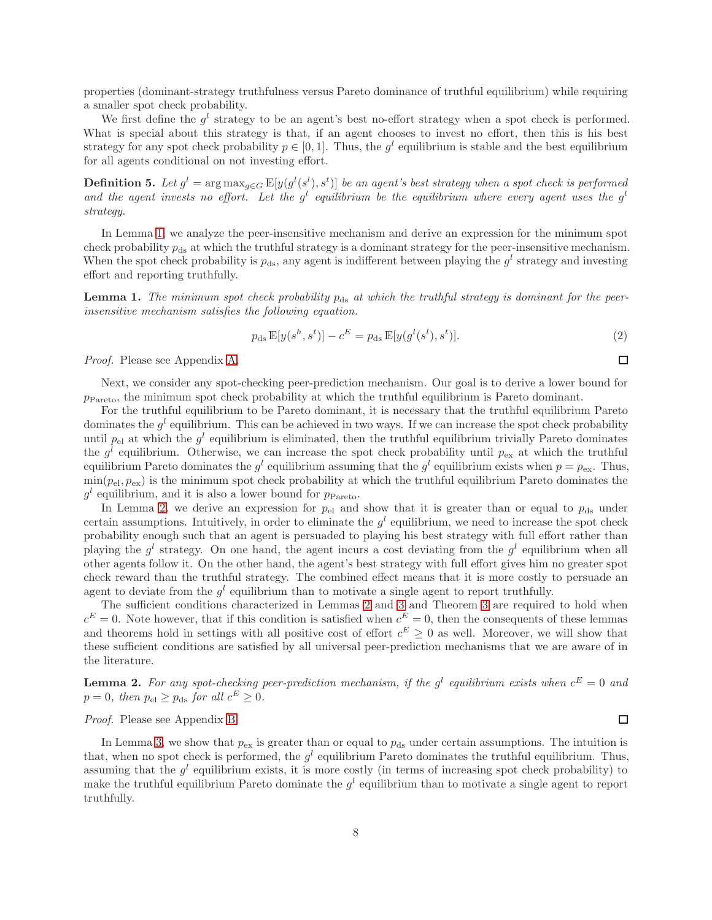properties (dominant-strategy truthfulness versus Pareto dominance of truthful equilibrium) while requiring a smaller spot check probability.

We first define the  $g^l$  strategy to be an agent's best no-effort strategy when a spot check is performed. What is special about this strategy is that, if an agent chooses to invest no effort, then this is his best strategy for any spot check probability  $p \in [0,1]$ . Thus, the  $g^l$  equilibrium is stable and the best equilibrium for all agents conditional on not investing effort.

**Definition 5.** Let  $g^l = \arg \max_{g \in G} \mathbb{E}[y(g^l(s^l), s^t)]$  be an agent's best strategy when a spot check is performed and the agent invests no effort. Let the  $g^l$  equilibrium be the equilibrium where every agent uses the  $g^l$ strategy.

In Lemma [1,](#page-7-0) we analyze the peer-insensitive mechanism and derive an expression for the minimum spot check probability  $p_{ds}$  at which the truthful strategy is a dominant strategy for the peer-insensitive mechanism. When the spot check probability is  $p_{ds}$ , any agent is indifferent between playing the  $g^l$  strategy and investing effort and reporting truthfully.

<span id="page-7-0"></span>**Lemma 1.** The minimum spot check probability  $p_{ds}$  at which the truthful strategy is dominant for the peerinsensitive mechanism satisfies the following equation.

$$
p_{\rm ds} \mathbb{E}[y(s^h, s^t)] - c^E = p_{\rm ds} \mathbb{E}[y(g^l(s^l), s^t)].
$$
\n(2)

Proof. Please see Appendix [A.](#page-11-10)

Next, we consider any spot-checking peer-prediction mechanism. Our goal is to derive a lower bound for  $p_{\text{Pareto}}$ , the minimum spot check probability at which the truthful equilibrium is Pareto dominant.

For the truthful equilibrium to be Pareto dominant, it is necessary that the truthful equilibrium Pareto dominates the  $g^l$  equilibrium. This can be achieved in two ways. If we can increase the spot check probability until  $p_{el}$  at which the  $g^l$  equilibrium is eliminated, then the truthful equilibrium trivially Pareto dominates the  $g^l$  equilibrium. Otherwise, we can increase the spot check probability until  $p_{\text{ex}}$  at which the truthful equilibrium Pareto dominates the  $g^l$  equilibrium assuming that the  $g^l$  equilibrium exists when  $p = p_{ex}$ . Thus,  $\min(p_{\text{el}}, p_{\text{ex}})$  is the minimum spot check probability at which the truthful equilibrium Pareto dominates the  $g^l$  equilibrium, and it is also a lower bound for  $p_{\text{Pareto}}$ .

In Lemma [2,](#page-7-1) we derive an expression for  $p_{el}$  and show that it is greater than or equal to  $p_{ds}$  under certain assumptions. Intuitively, in order to eliminate the  $g<sup>l</sup>$  equilibrium, we need to increase the spot check probability enough such that an agent is persuaded to playing his best strategy with full effort rather than playing the  $g^l$  strategy. On one hand, the agent incurs a cost deviating from the  $g^l$  equilibrium when all other agents follow it. On the other hand, the agent's best strategy with full effort gives him no greater spot check reward than the truthful strategy. The combined effect means that it is more costly to persuade an agent to deviate from the  $g^l$  equilibrium than to motivate a single agent to report truthfully.

The sufficient conditions characterized in Lemmas [2](#page-7-1) and [3](#page-8-1) and Theorem [3](#page-8-0) are required to hold when  $c^{E} = 0$ . Note however, that if this condition is satisfied when  $c^{E} = 0$ , then the consequents of these lemmas and theorems hold in settings with all positive cost of effort  $c^E \geq 0$  as well. Moreover, we will show that these sufficient conditions are satisfied by all universal peer-prediction mechanisms that we are aware of in the literature.

<span id="page-7-1"></span>**Lemma 2.** For any spot-checking peer-prediction mechanism, if the  $g^l$  equilibrium exists when  $c^E = 0$  and  $p = 0$ , then  $p_{el} \ge p_{ds}$  for all  $c^{E} \ge 0$ .

#### Proof. Please see Appendix [B.](#page-12-0)

In Lemma [3,](#page-8-1) we show that  $p_{ex}$  is greater than or equal to  $p_{ds}$  under certain assumptions. The intuition is that, when no spot check is performed, the  $g^l$  equilibrium Pareto dominates the truthful equilibrium. Thus, assuming that the  $g^l$  equilibrium exists, it is more costly (in terms of increasing spot check probability) to make the truthful equilibrium Pareto dominate the  $g<sup>l</sup>$  equilibrium than to motivate a single agent to report truthfully.

 $\Box$ 

<span id="page-7-2"></span> $\Box$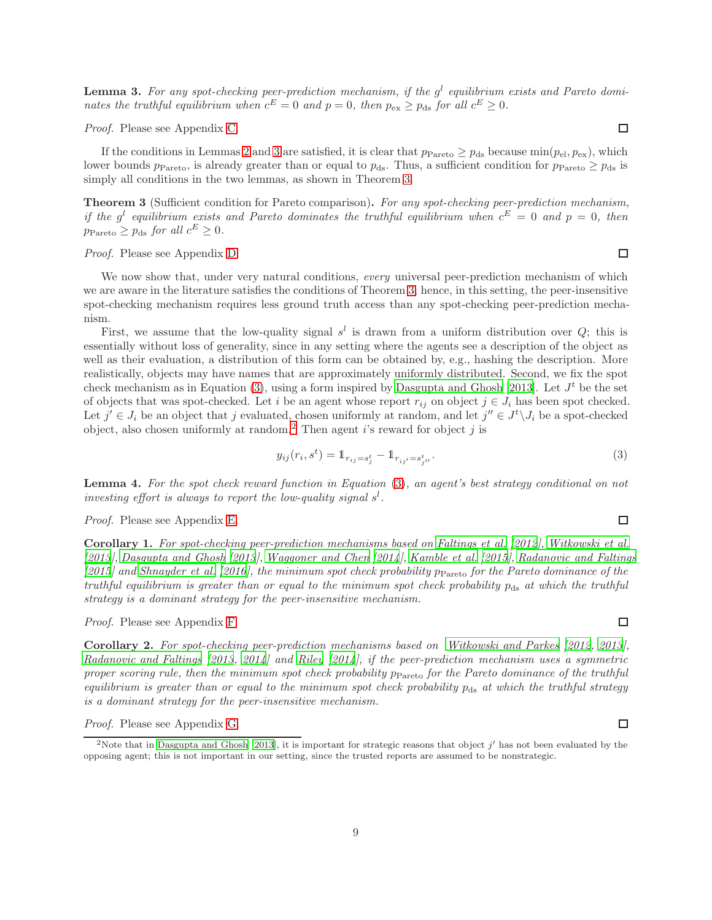<span id="page-8-1"></span>**Lemma 3.** For any spot-checking peer-prediction mechanism, if the  $g^l$  equilibrium exists and Pareto dominates the truthful equilibrium when  $c^E = 0$  and  $p = 0$ , then  $p_{\text{ex}} \ge p_{\text{ds}}$  for all  $c^E \ge 0$ .

Proof. Please see Appendix [C.](#page-13-0)

If the conditions in Lemmas [2](#page-7-1) and [3](#page-8-1) are satisfied, it is clear that  $p_{\text{Pareto}} \geq p_{\text{ds}}$  because  $\min(p_{\text{el}}, p_{\text{ex}})$ , which lower bounds  $p_{\text{Pareto}}$ , is already greater than or equal to  $p_{\text{ds}}$ . Thus, a sufficient condition for  $p_{\text{Pareto}} \geq p_{\text{ds}}$  is simply all conditions in the two lemmas, as shown in Theorem [3.](#page-8-0)

<span id="page-8-0"></span>Theorem 3 (Sufficient condition for Pareto comparison). For any spot-checking peer-prediction mechanism, if the  $g^l$  equilibrium exists and Pareto dominates the truthful equilibrium when  $c^E = 0$  and  $p = 0$ , then  $p_{\text{Pareto}} \geq p_{\text{ds}}$  for all  $c^E \geq 0$ .

Proof. Please see Appendix [D.](#page-13-1)

We now show that, under very natural conditions, every universal peer-prediction mechanism of which we are aware in the literature satisfies the conditions of Theorem [3;](#page-8-0) hence, in this setting, the peer-insensitive spot-checking mechanism requires less ground truth access than any spot-checking peer-prediction mechanism.

First, we assume that the low-quality signal  $s^l$  is drawn from a uniform distribution over  $Q$ ; this is essentially without loss of generality, since in any setting where the agents see a description of the object as well as their evaluation, a distribution of this form can be obtained by, e.g., hashing the description. More realistically, objects may have names that are approximately uniformly distributed. Second, we fix the spot check mechanism as in Equation [\(3\)](#page-8-2), using a form inspired by [Dasgupta and Ghosh \[2013](#page-9-5)]. Let  $J<sup>t</sup>$  be the set of objects that was spot-checked. Let i be an agent whose report  $r_{ij}$  on object  $j \in J_i$  has been spot checked. Let  $j' \in J_i$  be an object that j evaluated, chosen uniformly at random, and let  $j'' \in J^t \backslash J_i$  be a spot-checked object, also chosen uniformly at random.<sup>[2](#page-8-3)</sup> Then agent i's reward for object j is

<span id="page-8-2"></span>
$$
y_{ij}(r_i, s^t) = \mathbb{1}_{r_{ij} = s_j^t} - \mathbb{1}_{r_{ij'} = s_{j''}^t}.
$$
\n(3)

<span id="page-8-4"></span>Lemma 4. For the spot check reward function in Equation [\(3\)](#page-8-2), an agent's best strategy conditional on not investing effort is always to report the low-quality signal  $s<sup>1</sup>$ .

#### Proof. Please see Appendix [E.](#page-14-0)

<span id="page-8-5"></span>Corollary 1. For spot-checking peer-prediction mechanisms based on [Faltings et al. \[2012](#page-9-4)], [Witkowski et al.](#page-11-3) [\[2013](#page-11-3)], [Dasgupta and Ghosh \[2013](#page-9-5)], [Waggoner and Chen \[2014](#page-11-6)], [Kamble et al. \[2015](#page-10-10)], [Radanovic and Faltings](#page-10-15)  $[2015]$  $[2015]$  and [Shnayder et al. \[2016\]](#page-11-7), the minimum spot check probability  $p_{\text{Pareto}}$  for the Pareto dominance of the truthful equilibrium is greater than or equal to the minimum spot check probability  $p_{ds}$  at which the truthful strategy is a dominant strategy for the peer-insensitive mechanism.

Proof. Please see Appendix [F.](#page-15-0)

<span id="page-8-6"></span>Corollary 2. For spot-checking peer-prediction mechanisms based on [Witkowski and Parkes \[2012](#page-11-2), [2013](#page-11-4)], [Radanovic and Faltings \[2013](#page-10-7), [2014](#page-10-8)] and [Riley \[2014](#page-10-9)], if the peer-prediction mechanism uses a symmetric proper scoring rule, then the minimum spot check probability  $p_{\text{Pareto}}$  for the Pareto dominance of the truthful equilibrium is greater than or equal to the minimum spot check probability  $p_{ds}$  at which the truthful strategy is a dominant strategy for the peer-insensitive mechanism.

#### Proof. Please see Appendix [G.](#page-17-0)

#### $\Box$

 $\Box$ 

 $\Box$ 

 $\Box$ 

 $\Box$ 

<span id="page-8-3"></span><sup>&</sup>lt;sup>2</sup>Note that in [Dasgupta and Ghosh \[2013\]](#page-9-5), it is important for strategic reasons that object  $j'$  has not been evaluated by the opposing agent; this is not important in our setting, since the trusted reports are assumed to be nonstrategic.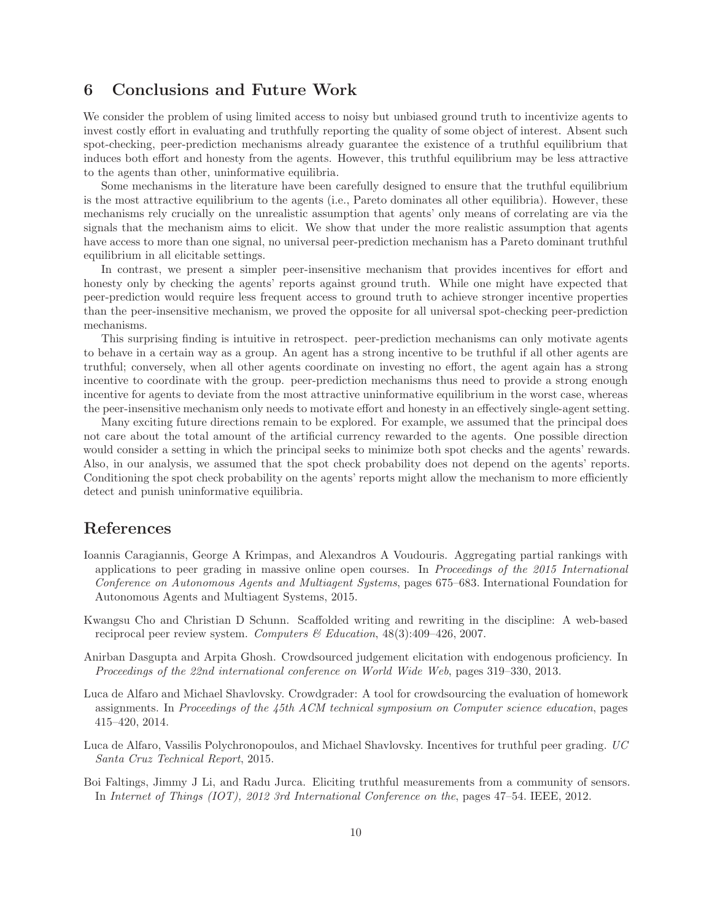### 6 Conclusions and Future Work

We consider the problem of using limited access to noisy but unbiased ground truth to incentivize agents to invest costly effort in evaluating and truthfully reporting the quality of some object of interest. Absent such spot-checking, peer-prediction mechanisms already guarantee the existence of a truthful equilibrium that induces both effort and honesty from the agents. However, this truthful equilibrium may be less attractive to the agents than other, uninformative equilibria.

Some mechanisms in the literature have been carefully designed to ensure that the truthful equilibrium is the most attractive equilibrium to the agents (i.e., Pareto dominates all other equilibria). However, these mechanisms rely crucially on the unrealistic assumption that agents' only means of correlating are via the signals that the mechanism aims to elicit. We show that under the more realistic assumption that agents have access to more than one signal, no universal peer-prediction mechanism has a Pareto dominant truthful equilibrium in all elicitable settings.

In contrast, we present a simpler peer-insensitive mechanism that provides incentives for effort and honesty only by checking the agents' reports against ground truth. While one might have expected that peer-prediction would require less frequent access to ground truth to achieve stronger incentive properties than the peer-insensitive mechanism, we proved the opposite for all universal spot-checking peer-prediction mechanisms.

This surprising finding is intuitive in retrospect. peer-prediction mechanisms can only motivate agents to behave in a certain way as a group. An agent has a strong incentive to be truthful if all other agents are truthful; conversely, when all other agents coordinate on investing no effort, the agent again has a strong incentive to coordinate with the group. peer-prediction mechanisms thus need to provide a strong enough incentive for agents to deviate from the most attractive uninformative equilibrium in the worst case, whereas the peer-insensitive mechanism only needs to motivate effort and honesty in an effectively single-agent setting.

Many exciting future directions remain to be explored. For example, we assumed that the principal does not care about the total amount of the artificial currency rewarded to the agents. One possible direction would consider a setting in which the principal seeks to minimize both spot checks and the agents' rewards. Also, in our analysis, we assumed that the spot check probability does not depend on the agents' reports. Conditioning the spot check probability on the agents' reports might allow the mechanism to more efficiently detect and punish uninformative equilibria.

### References

- <span id="page-9-2"></span>Ioannis Caragiannis, George A Krimpas, and Alexandros A Voudouris. Aggregating partial rankings with applications to peer grading in massive online open courses. In Proceedings of the 2015 International Conference on Autonomous Agents and Multiagent Systems, pages 675–683. International Foundation for Autonomous Agents and Multiagent Systems, 2015.
- <span id="page-9-0"></span>Kwangsu Cho and Christian D Schunn. Scaffolded writing and rewriting in the discipline: A web-based reciprocal peer review system. Computers  $\mathscr{C}$  Education, 48(3):409–426, 2007.
- <span id="page-9-5"></span>Anirban Dasgupta and Arpita Ghosh. Crowdsourced judgement elicitation with endogenous proficiency. In Proceedings of the 22nd international conference on World Wide Web, pages 319–330, 2013.
- <span id="page-9-1"></span>Luca de Alfaro and Michael Shavlovsky. Crowdgrader: A tool for crowdsourcing the evaluation of homework assignments. In Proceedings of the 45th ACM technical symposium on Computer science education, pages 415–420, 2014.
- <span id="page-9-3"></span>Luca de Alfaro, Vassilis Polychronopoulos, and Michael Shavlovsky. Incentives for truthful peer grading. UC Santa Cruz Technical Report, 2015.
- <span id="page-9-4"></span>Boi Faltings, Jimmy J Li, and Radu Jurca. Eliciting truthful measurements from a community of sensors. In Internet of Things (IOT), 2012 3rd International Conference on the, pages 47–54. IEEE, 2012.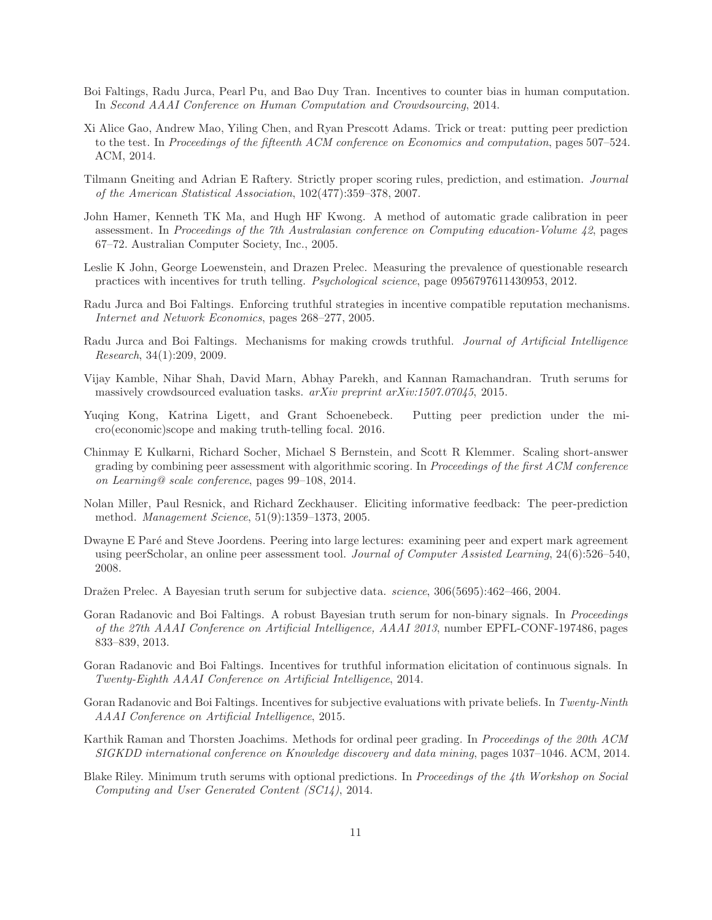- <span id="page-10-13"></span>Boi Faltings, Radu Jurca, Pearl Pu, and Bao Duy Tran. Incentives to counter bias in human computation. In Second AAAI Conference on Human Computation and Crowdsourcing, 2014.
- <span id="page-10-14"></span>Xi Alice Gao, Andrew Mao, Yiling Chen, and Ryan Prescott Adams. Trick or treat: putting peer prediction to the test. In Proceedings of the fifteenth ACM conference on Economics and computation, pages 507–524. ACM, 2014.
- <span id="page-10-17"></span>Tilmann Gneiting and Adrian E Raftery. Strictly proper scoring rules, prediction, and estimation. Journal of the American Statistical Association, 102(477):359–378, 2007.
- <span id="page-10-0"></span>John Hamer, Kenneth TK Ma, and Hugh HF Kwong. A method of automatic grade calibration in peer assessment. In Proceedings of the 7th Australasian conference on Computing education-Volume 42, pages 67–72. Australian Computer Society, Inc., 2005.
- <span id="page-10-12"></span>Leslie K John, George Loewenstein, and Drazen Prelec. Measuring the prevalence of questionable research practices with incentives for truth telling. Psychological science, page 0956797611430953, 2012.
- <span id="page-10-16"></span>Radu Jurca and Boi Faltings. Enforcing truthful strategies in incentive compatible reputation mechanisms. Internet and Network Economics, pages 268–277, 2005.
- <span id="page-10-6"></span>Radu Jurca and Boi Faltings. Mechanisms for making crowds truthful. Journal of Artificial Intelligence Research, 34(1):209, 2009.
- <span id="page-10-10"></span>Vijay Kamble, Nihar Shah, David Marn, Abhay Parekh, and Kannan Ramachandran. Truth serums for massively crowdsourced evaluation tasks. arXiv preprint arXiv:1507.07045, 2015.
- <span id="page-10-11"></span>Yuqing Kong, Katrina Ligett, and Grant Schoenebeck. Putting peer prediction under the micro(economic)scope and making truth-telling focal. 2016.
- <span id="page-10-2"></span>Chinmay E Kulkarni, Richard Socher, Michael S Bernstein, and Scott R Klemmer. Scaling short-answer grading by combining peer assessment with algorithmic scoring. In Proceedings of the first ACM conference on Learning@ scale conference, pages 99–108, 2014.
- <span id="page-10-5"></span>Nolan Miller, Paul Resnick, and Richard Zeckhauser. Eliciting informative feedback: The peer-prediction method. Management Science, 51(9):1359–1373, 2005.
- <span id="page-10-1"></span>Dwayne E Paré and Steve Joordens. Peering into large lectures: examining peer and expert mark agreement using peerScholar, an online peer assessment tool. Journal of Computer Assisted Learning, 24(6):526–540, 2008.
- <span id="page-10-4"></span>Dražen Prelec. A Bayesian truth serum for subjective data. *science*,  $306(5695):462-466, 2004$ .
- <span id="page-10-7"></span>Goran Radanovic and Boi Faltings. A robust Bayesian truth serum for non-binary signals. In Proceedings of the 27th AAAI Conference on Artificial Intelligence, AAAI 2013, number EPFL-CONF-197486, pages 833–839, 2013.
- <span id="page-10-8"></span>Goran Radanovic and Boi Faltings. Incentives for truthful information elicitation of continuous signals. In Twenty-Eighth AAAI Conference on Artificial Intelligence, 2014.
- <span id="page-10-15"></span>Goran Radanovic and Boi Faltings. Incentives for subjective evaluations with private beliefs. In Twenty-Ninth AAAI Conference on Artificial Intelligence, 2015.
- <span id="page-10-3"></span>Karthik Raman and Thorsten Joachims. Methods for ordinal peer grading. In Proceedings of the 20th ACM SIGKDD international conference on Knowledge discovery and data mining, pages 1037–1046. ACM, 2014.
- <span id="page-10-9"></span>Blake Riley. Minimum truth serums with optional predictions. In Proceedings of the 4th Workshop on Social Computing and User Generated Content (SC14), 2014.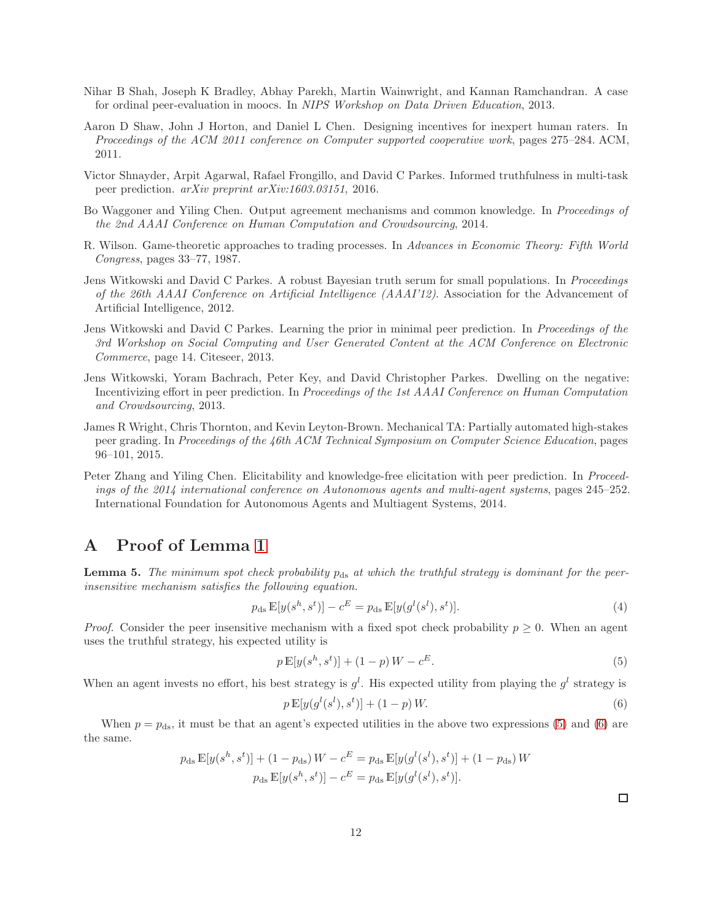- <span id="page-11-0"></span>Nihar B Shah, Joseph K Bradley, Abhay Parekh, Martin Wainwright, and Kannan Ramchandran. A case for ordinal peer-evaluation in moocs. In NIPS Workshop on Data Driven Education, 2013.
- <span id="page-11-8"></span>Aaron D Shaw, John J Horton, and Daniel L Chen. Designing incentives for inexpert human raters. In Proceedings of the ACM 2011 conference on Computer supported cooperative work, pages 275–284. ACM, 2011.
- <span id="page-11-7"></span>Victor Shnayder, Arpit Agarwal, Rafael Frongillo, and David C Parkes. Informed truthfulness in multi-task peer prediction. arXiv preprint arXiv:1603.03151, 2016.
- <span id="page-11-6"></span>Bo Waggoner and Yiling Chen. Output agreement mechanisms and common knowledge. In Proceedings of the 2nd AAAI Conference on Human Computation and Crowdsourcing, 2014.
- <span id="page-11-9"></span>R. Wilson. Game-theoretic approaches to trading processes. In Advances in Economic Theory: Fifth World Congress, pages 33–77, 1987.
- <span id="page-11-2"></span>Jens Witkowski and David C Parkes. A robust Bayesian truth serum for small populations. In Proceedings of the 26th AAAI Conference on Artificial Intelligence (AAAI'12). Association for the Advancement of Artificial Intelligence, 2012.
- <span id="page-11-4"></span>Jens Witkowski and David C Parkes. Learning the prior in minimal peer prediction. In Proceedings of the 3rd Workshop on Social Computing and User Generated Content at the ACM Conference on Electronic Commerce, page 14. Citeseer, 2013.
- <span id="page-11-3"></span>Jens Witkowski, Yoram Bachrach, Peter Key, and David Christopher Parkes. Dwelling on the negative: Incentivizing effort in peer prediction. In *Proceedings of the 1st AAAI Conference on Human Computation* and Crowdsourcing, 2013.
- <span id="page-11-1"></span>James R Wright, Chris Thornton, and Kevin Leyton-Brown. Mechanical TA: Partially automated high-stakes peer grading. In Proceedings of the 46th ACM Technical Symposium on Computer Science Education, pages 96–101, 2015.
- <span id="page-11-5"></span>Peter Zhang and Yiling Chen. Elicitability and knowledge-free elicitation with peer prediction. In *Proceed*ings of the 2014 international conference on Autonomous agents and multi-agent systems, pages 245–252. International Foundation for Autonomous Agents and Multiagent Systems, 2014.

# <span id="page-11-10"></span>A Proof of Lemma [1](#page-7-0)

**Lemma 5.** The minimum spot check probability  $p_{ds}$  at which the truthful strategy is dominant for the peerinsensitive mechanism satisfies the following equation.

$$
p_{\rm ds} \mathbb{E}[y(s^h, s^t)] - c^E = p_{\rm ds} \mathbb{E}[y(g^l(s^l), s^t)]. \tag{4}
$$

*Proof.* Consider the peer insensitive mechanism with a fixed spot check probability  $p \geq 0$ . When an agent uses the truthful strategy, his expected utility is

$$
p \mathbb{E}[y(s^h, s^t)] + (1 - p)W - c^E.
$$
\n(5)

When an agent invests no effort, his best strategy is  $g^l$ . His expected utility from playing the  $g^l$  strategy is

$$
p \mathbb{E}[y(g^l(s^l), s^t)] + (1 - p) W.
$$
\n(6)

When  $p = p_{ds}$ , it must be that an agent's expected utilities in the above two expressions [\(5\)](#page-11-11) and [\(6\)](#page-11-12) are the same.

$$
p_{\rm ds} \mathbb{E}[y(s^h, s^t)] + (1 - p_{\rm ds}) W - c^E = p_{\rm ds} \mathbb{E}[y(g^l(s^l), s^t)] + (1 - p_{\rm ds}) W
$$

$$
p_{\rm ds} \mathbb{E}[y(s^h, s^t)] - c^E = p_{\rm ds} \mathbb{E}[y(g^l(s^l), s^t)].
$$

<span id="page-11-12"></span><span id="page-11-11"></span> $\Box$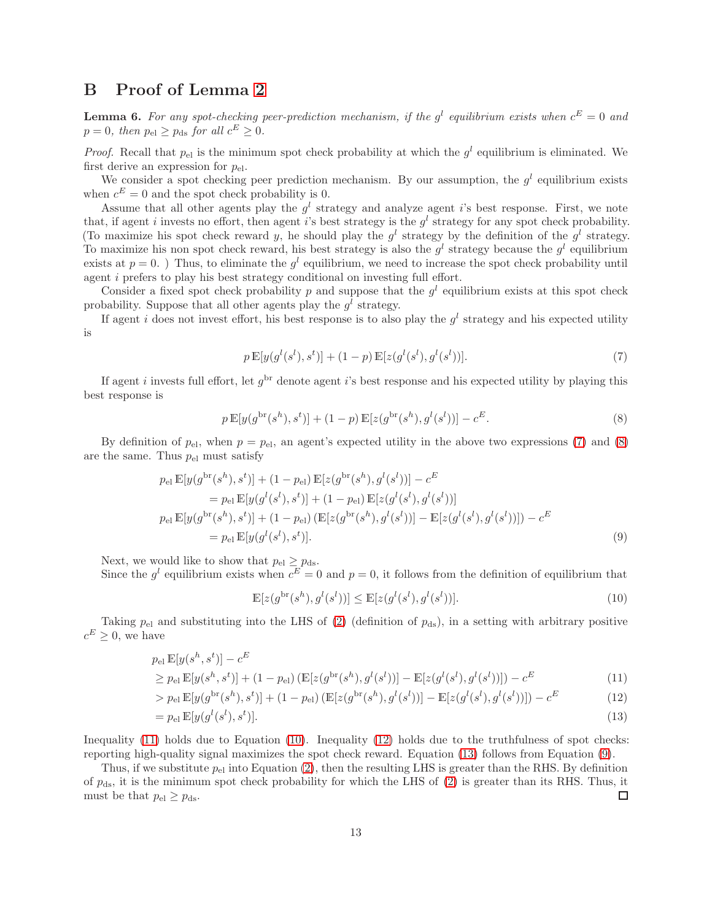# <span id="page-12-0"></span>B Proof of Lemma [2](#page-7-1)

**Lemma 6.** For any spot-checking peer-prediction mechanism, if the  $g^l$  equilibrium exists when  $c^E = 0$  and  $p = 0$ , then  $p_{el} \ge p_{ds}$  for all  $c^{E} \ge 0$ .

*Proof.* Recall that  $p_{el}$  is the minimum spot check probability at which the  $g^l$  equilibrium is eliminated. We first derive an expression for  $p_{el}$ .

We consider a spot checking peer prediction mechanism. By our assumption, the  $g^l$  equilibrium exists when  $c^E = 0$  and the spot check probability is 0.

Assume that all other agents play the  $g^l$  strategy and analyze agent i's best response. First, we note that, if agent i invests no effort, then agent i's best strategy is the  $g^l$  strategy for any spot check probability. (To maximize his spot check reward y, he should play the  $g^l$  strategy by the definition of the  $g^l$  strategy. To maximize his non spot check reward, his best strategy is also the  $g^l$  strategy because the  $g^l$  equilibrium exists at  $p = 0$ .) Thus, to eliminate the  $g<sup>l</sup>$  equilibrium, we need to increase the spot check probability until agent i prefers to play his best strategy conditional on investing full effort.

Consider a fixed spot check probability p and suppose that the  $g<sup>l</sup>$  equilibrium exists at this spot check probability. Suppose that all other agents play the  $g^l$  strategy.

If agent i does not invest effort, his best response is to also play the  $g^l$  strategy and his expected utility is

<span id="page-12-2"></span><span id="page-12-1"></span>
$$
p \mathbb{E}[y(g^{l}(s^{l}), s^{t})] + (1-p) \mathbb{E}[z(g^{l}(s^{l}), g^{l}(s^{l}))]. \tag{7}
$$

If agent *i* invests full effort, let  $g^{\text{br}}$  denote agent *i*'s best response and his expected utility by playing this best response is

$$
p \mathbb{E}[y(g^{\text{br}}(s^h), s^t)] + (1-p) \mathbb{E}[z(g^{\text{br}}(s^h), g^l(s^l))] - c^E.
$$
 (8)

By definition of  $p_{\text{el}}$ , when  $p = p_{\text{el}}$ , an agent's expected utility in the above two expressions [\(7\)](#page-12-1) and [\(8\)](#page-12-2) are the same. Thus  $p_{el}$  must satisfy

$$
p_{\rm el} \mathbb{E}[y(g^{\rm br}(s^h), s^t)] + (1 - p_{\rm el}) \mathbb{E}[z(g^{\rm br}(s^h), g^l(s^l))] - c^E
$$
  
\n
$$
= p_{\rm el} \mathbb{E}[y(g^l(s^l), s^t)] + (1 - p_{\rm el}) \mathbb{E}[z(g^l(s^l), g^l(s^l))]
$$
  
\n
$$
p_{\rm el} \mathbb{E}[y(g^{\rm br}(s^h), s^t)] + (1 - p_{\rm el}) (\mathbb{E}[z(g^{\rm br}(s^h), g^l(s^l))] - \mathbb{E}[z(g^l(s^l), g^l(s^l))]) - c^E
$$
  
\n
$$
= p_{\rm el} \mathbb{E}[y(g^l(s^l), s^t)]. \tag{9}
$$

Next, we would like to show that  $p_{el} \ge p_{ds}$ .

Since the  $g^l$  equilibrium exists when  $c^E = 0$  and  $p = 0$ , it follows from the definition of equilibrium that

<span id="page-12-7"></span><span id="page-12-6"></span><span id="page-12-5"></span><span id="page-12-4"></span><span id="page-12-3"></span>
$$
\mathbb{E}[z(g^{\text{br}}(s^h), g^l(s^l))] \le \mathbb{E}[z(g^l(s^l), g^l(s^l))].\tag{10}
$$

Taking  $p_{el}$  and substituting into the LHS of [\(2\)](#page-7-2) (definition of  $p_{ds}$ ), in a setting with arbitrary positive  $c^E \geq 0$ , we have

$$
p_{\text{el}}\,\mathbb{E}[y(s^h,s^t)]-c^E
$$

$$
\geq p_{\rm el} \mathbb{E}[y(s^h, s^t)] + (1 - p_{\rm el}) \left( \mathbb{E}[z(g^{\rm br}(s^h), g^l(s^l))] - \mathbb{E}[z(g^l(s^l), g^l(s^l))]\right) - c^E
$$
\n(11)

$$
> p_{\rm el} \mathbb{E}[y(g^{\rm br}(s^h), s^t)] + (1 - p_{\rm el}) \left( \mathbb{E}[z(g^{\rm br}(s^h), g^l(s^l))] - \mathbb{E}[z(g^l(s^l), g^l(s^l))] \right) - c^E \tag{12}
$$

$$
= p_{\mathrm{el}} \mathbb{E}[y(g^l(s^l), s^t)]. \tag{13}
$$

Inequality [\(11\)](#page-12-3) holds due to Equation [\(10\)](#page-12-4). Inequality [\(12\)](#page-12-5) holds due to the truthfulness of spot checks: reporting high-quality signal maximizes the spot check reward. Equation [\(13\)](#page-12-6) follows from Equation [\(9\)](#page-12-7).

Thus, if we substitute  $p_{el}$  into Equation [\(2\)](#page-7-2), then the resulting LHS is greater than the RHS. By definition of  $p_{ds}$ , it is the minimum spot check probability for which the LHS of [\(2\)](#page-7-2) is greater than its RHS. Thus, it must be that  $p_{el} \geq p_{ds}$ . □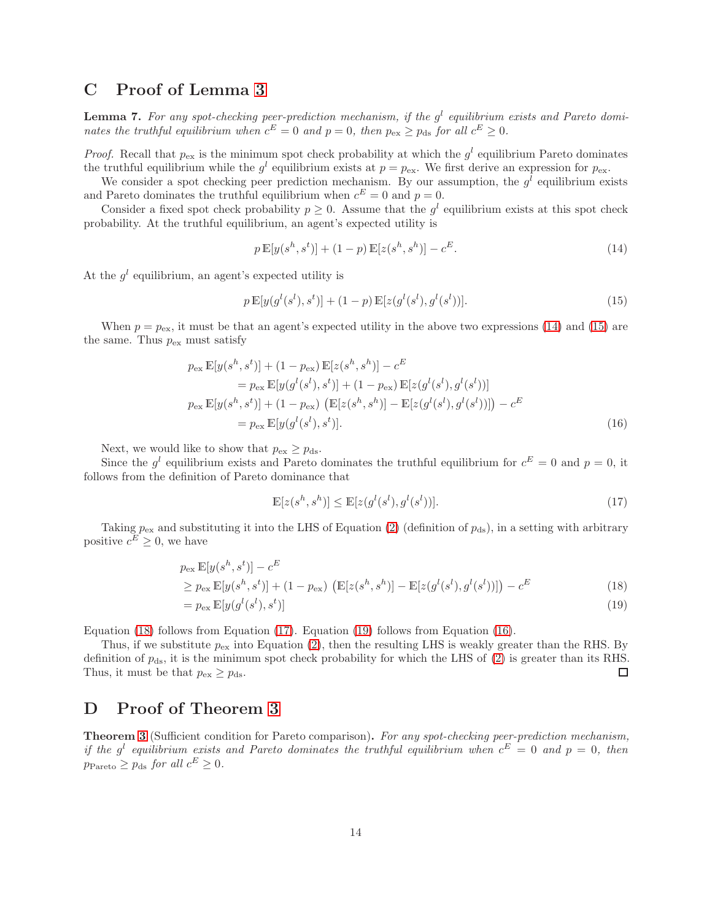### <span id="page-13-0"></span>C Proof of Lemma [3](#page-8-1)

**Lemma 7.** For any spot-checking peer-prediction mechanism, if the  $g^l$  equilibrium exists and Pareto dominates the truthful equilibrium when  $c^E = 0$  and  $p = 0$ , then  $p_{ex} \ge p_{ds}$  for all  $c^E \ge 0$ .

*Proof.* Recall that  $p_{\text{ex}}$  is the minimum spot check probability at which the  $g^l$  equilibrium Pareto dominates the truthful equilibrium while the  $g^l$  equilibrium exists at  $p = p_{ex}$ . We first derive an expression for  $p_{ex}$ .

We consider a spot checking peer prediction mechanism. By our assumption, the  $g^l$  equilibrium exists and Pareto dominates the truthful equilibrium when  $c^E = 0$  and  $p = 0$ .

Consider a fixed spot check probability  $p \geq 0$ . Assume that the  $g^l$  equilibrium exists at this spot check probability. At the truthful equilibrium, an agent's expected utility is

<span id="page-13-3"></span><span id="page-13-2"></span>
$$
p \mathbb{E}[y(s^h, s^t)] + (1 - p) \mathbb{E}[z(s^h, s^h)] - c^E.
$$
\n(14)

At the  $g^l$  equilibrium, an agent's expected utility is

$$
p \mathbb{E}[y(g^{l}(s^{l}), s^{t})] + (1-p) \mathbb{E}[z(g^{l}(s^{l}), g^{l}(s^{l}))]. \tag{15}
$$

When  $p = p_{\text{ex}}$ , it must be that an agent's expected utility in the above two expressions [\(14\)](#page-13-2) and [\(15\)](#page-13-3) are the same. Thus  $p_{\text{ex}}$  must satisfy

$$
p_{\text{ex}} \mathbb{E}[y(s^h, s^t)] + (1 - p_{\text{ex}}) \mathbb{E}[z(s^h, s^h)] - c^E
$$
  
=  $p_{\text{ex}} \mathbb{E}[y(g^l(s^l), s^t)] + (1 - p_{\text{ex}}) \mathbb{E}[z(g^l(s^l), g^l(s^l))]$   
 $p_{\text{ex}} \mathbb{E}[y(s^h, s^t)] + (1 - p_{\text{ex}}) (\mathbb{E}[z(s^h, s^h)] - \mathbb{E}[z(g^l(s^l), g^l(s^l))]) - c^E$   
=  $p_{\text{ex}} \mathbb{E}[y(g^l(s^l), s^t)].$  (16)

Next, we would like to show that  $p_{\text{ex}} \ge p_{\text{ds}}$ .

Since the  $g^l$  equilibrium exists and Pareto dominates the truthful equilibrium for  $c^E = 0$  and  $p = 0$ , it follows from the definition of Pareto dominance that

<span id="page-13-7"></span><span id="page-13-6"></span><span id="page-13-5"></span><span id="page-13-4"></span>
$$
\mathbb{E}[z(s^h, s^h)] \le \mathbb{E}[z(g^l(s^l), g^l(s^l))].\tag{17}
$$

Taking  $p_{\text{ex}}$  and substituting it into the LHS of Equation [\(2\)](#page-7-2) (definition of  $p_{\text{ds}}$ ), in a setting with arbitrary positive  $c^E \geq 0$ , we have

$$
p_{\text{ex}} \mathbb{E}[y(s^h, s^t)] - c^E
$$
  
\n
$$
\geq p_{\text{ex}} \mathbb{E}[y(s^h, s^t)] + (1 - p_{\text{ex}}) \left( \mathbb{E}[z(s^h, s^h)] - \mathbb{E}[z(g^l(s^l), g^l(s^l))]\right) - c^E
$$
\n(18)

$$
= p_{\text{ex}} \mathbb{E}[y(g^l(s^l), s^t)] \tag{19}
$$

Equation [\(18\)](#page-13-4) follows from Equation [\(17\)](#page-13-5). Equation [\(19\)](#page-13-6) follows from Equation [\(16\)](#page-13-7).

Thus, if we substitute  $p_{ex}$  into Equation [\(2\)](#page-7-2), then the resulting LHS is weakly greater than the RHS. By definition of  $p_{ds}$ , it is the minimum spot check probability for which the LHS of [\(2\)](#page-7-2) is greater than its RHS. Thus, it must be that  $p_{\text{ex}} \geq p_{\text{ds}}$ . □

# <span id="page-13-1"></span>D Proof of Theorem [3](#page-8-0)

Theorem [3](#page-8-0) (Sufficient condition for Pareto comparison). For any spot-checking peer-prediction mechanism, if the g<sup>l</sup> equilibrium exists and Pareto dominates the truthful equilibrium when  $c^E = 0$  and  $p = 0$ , then  $p_{\text{Pareto}} \geq p_{\text{ds}}$  for all  $c^E \geq 0$ .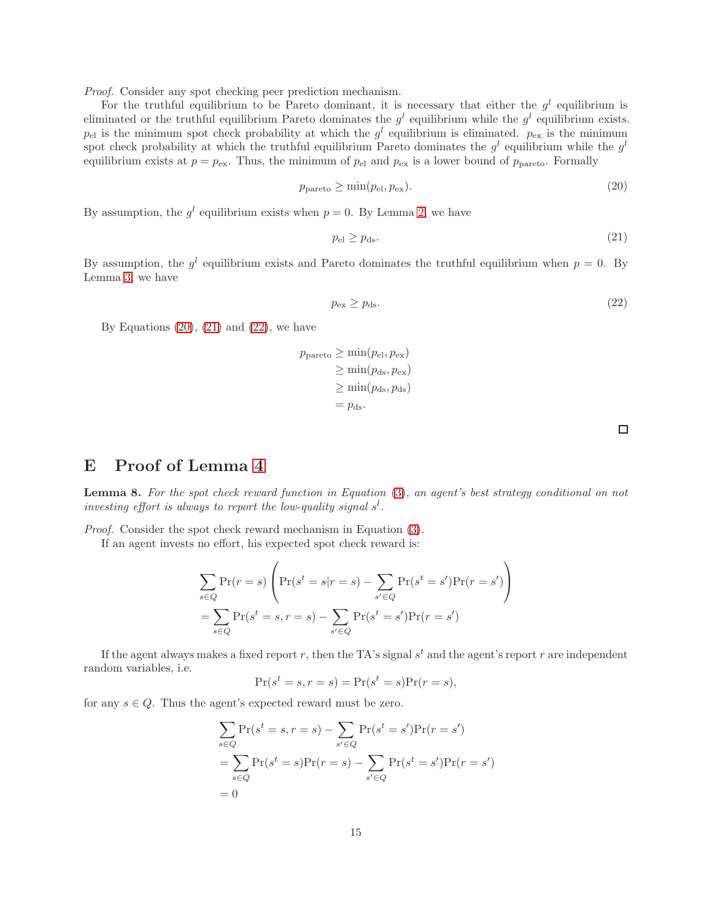Proof. Consider any spot checking peer prediction mechanism.

For the truthful equilibrium to be Pareto dominant, it is necessary that either the  $g^l$  equilibrium is eliminated or the truthful equilibrium Pareto dominates the  $g^l$  equilibrium while the  $g^l$  equilibrium exists.  $p_{\text{el}}$  is the minimum spot check probability at which the  $g^l$  equilibrium is eliminated.  $p_{\text{ex}}$  is the minimum spot check probability at which the truthful equilibrium Pareto dominates the  $g^l$  equilibrium while the  $g^l$ equilibrium exists at  $p = p_{ex}$ . Thus, the minimum of  $p_{el}$  and  $p_{ex}$  is a lower bound of  $p_{parto}$ . Formally

$$
p_{\text{parto}} \ge \min(p_{\text{el}}, p_{\text{ex}}). \tag{20}
$$

By assumption, the  $g^l$  equilibrium exists when  $p = 0$ . By Lemma [2,](#page-7-1) we have

$$
p_{\rm el} \ge p_{\rm ds}.\tag{21}
$$

By assumption, the  $g^l$  equilibrium exists and Pareto dominates the truthful equilibrium when  $p = 0$ . By Lemma [3,](#page-8-1) we have

$$
p_{\rm ex} \ge p_{\rm ds}.\tag{22}
$$

By Equations  $(20)$ ,  $(21)$  and  $(22)$ , we have

$$
p_{\text{parto}} \ge \min(p_{\text{el}}, p_{\text{ex}})
$$
  
\n
$$
\ge \min(p_{\text{ds}}, p_{\text{ex}})
$$
  
\n
$$
\ge \min(p_{\text{ds}}, p_{\text{ds}})
$$
  
\n
$$
= p_{\text{ds}}.
$$

<span id="page-14-3"></span><span id="page-14-2"></span><span id="page-14-1"></span> $\Box$ 

# <span id="page-14-0"></span>E Proof of Lemma [4](#page-8-4)

Lemma 8. For the spot check reward function in Equation [\(3\)](#page-8-2), an agent's best strategy conditional on not investing effort is always to report the low-quality signal  $s<sup>1</sup>$ .

Proof. Consider the spot check reward mechanism in Equation [\(3\)](#page-8-2).

If an agent invests no effort, his expected spot check reward is:

$$
\sum_{s \in Q} \Pr(r = s) \left( \Pr(s^t = s | r = s) - \sum_{s' \in Q} \Pr(s^t = s') \Pr(r = s') \right)
$$

$$
= \sum_{s \in Q} \Pr(s^t = s, r = s) - \sum_{s' \in Q} \Pr(s^t = s') \Pr(r = s')
$$

If the agent always makes a fixed report r, then the TA's signal  $s<sup>t</sup>$  and the agent's report r are independent random variables, i.e.

$$
Pr(s^t = s, r = s) = Pr(s^t = s)Pr(r = s),
$$

for any  $s \in Q$ . Thus the agent's expected reward must be zero.

$$
\sum_{s \in Q} \Pr(s^t = s, r = s) - \sum_{s' \in Q} \Pr(s^t = s') \Pr(r = s')
$$
  
= 
$$
\sum_{s \in Q} \Pr(s^t = s) \Pr(r = s) - \sum_{s' \in Q} \Pr(s^t = s') \Pr(r = s')
$$
  
= 0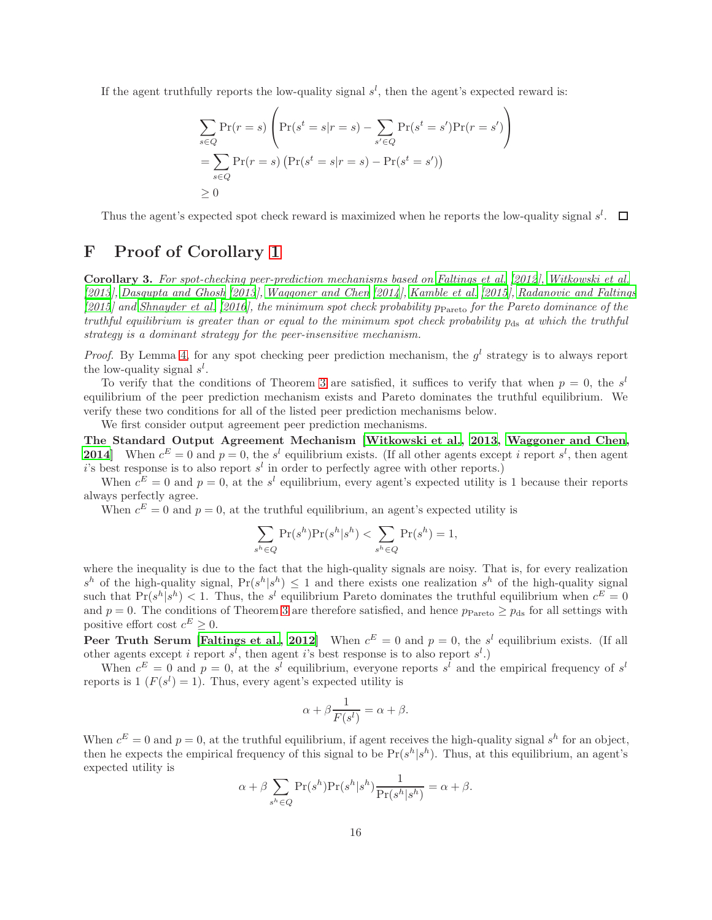If the agent truthfully reports the low-quality signal  $s<sup>l</sup>$ , then the agent's expected reward is:

$$
\sum_{s \in Q} \Pr(r = s) \left( \Pr(s^t = s | r = s) - \sum_{s' \in Q} \Pr(s^t = s') \Pr(r = s') \right)
$$

$$
= \sum_{s \in Q} \Pr(r = s) \left( \Pr(s^t = s | r = s) - \Pr(s^t = s') \right)
$$

$$
\ge 0
$$

Thus the agent's expected spot check reward is maximized when he reports the low-quality signal  $s^l$ .

### <span id="page-15-0"></span>F Proof of Corollary [1](#page-8-5)

Corollary 3. For spot-checking peer-prediction mechanisms based on [Faltings et al. \[2012](#page-9-4)], [Witkowski et al.](#page-11-3) [\[2013](#page-11-3)], [Dasgupta and Ghosh \[2013](#page-9-5)], [Waggoner and Chen \[2014](#page-11-6)], [Kamble et al. \[2015](#page-10-10)], [Radanovic and Faltings](#page-10-15)  $[2015]$  $[2015]$  and [Shnayder et al. \[2016\]](#page-11-7), the minimum spot check probability p<sub>Pareto</sub> for the Pareto dominance of the truthful equilibrium is greater than or equal to the minimum spot check probability  $p_{ds}$  at which the truthful strategy is a dominant strategy for the peer-insensitive mechanism.

*Proof.* By Lemma [4,](#page-8-4) for any spot checking peer prediction mechanism, the  $g^l$  strategy is to always report the low-quality signal  $s^l$ .

To verify that the conditions of Theorem [3](#page-8-0) are satisfied, it suffices to verify that when  $p = 0$ , the s<sup>l</sup> equilibrium of the peer prediction mechanism exists and Pareto dominates the truthful equilibrium. We verify these two conditions for all of the listed peer prediction mechanisms below.

We first consider output agreement peer prediction mechanisms.

The Standard Output Agreement Mechanism [\[Witkowski et al.,](#page-11-3) [2013,](#page-11-3) [Waggoner and Chen](#page-11-6), **2014** When  $c^E = 0$  and  $p = 0$ , the s<sup>l</sup> equilibrium exists. (If all other agents except i report s<sup>l</sup>, then agent i's best response is to also report  $s<sup>l</sup>$  in order to perfectly agree with other reports.)

When  $c^E = 0$  and  $p = 0$ , at the s<sup>l</sup> equilibrium, every agent's expected utility is 1 because their reports always perfectly agree.

When  $c^E = 0$  and  $p = 0$ , at the truthful equilibrium, an agent's expected utility is

$$
\sum_{s^h \in Q} \Pr(s^h) \Pr(s^h | s^h) < \sum_{s^h \in Q} \Pr(s^h) = 1,
$$

where the inequality is due to the fact that the high-quality signals are noisy. That is, for every realization  $s^h$  of the high-quality signal,  $Pr(s^h | s^h) \leq 1$  and there exists one realization  $s^h$  of the high-quality signal such that  $Pr(s^h | s^h) < 1$ . Thus, the s<sup>l</sup> equilibrium Pareto dominates the truthful equilibrium when  $c^E = 0$ and  $p = 0$ . The conditions of Theorem [3](#page-8-0) are therefore satisfied, and hence  $p_{\text{Pareto}} \ge p_{\text{ds}}$  for all settings with positive effort cost  $c^E \geq 0$ .

**Peer Truth Serum [\[Faltings et al., 2012](#page-9-4)]** When  $c^E = 0$  and  $p = 0$ , the s<sup>l</sup> equilibrium exists. (If all other agents except i report  $s^l$ , then agent i's best response is to also report  $s^l$ .)

When  $c^E = 0$  and  $p = 0$ , at the s<sup>l</sup> equilibrium, everyone reports s<sup>l</sup> and the empirical frequency of s<sup>l</sup> reports is  $1 (F(s^l) = 1)$ . Thus, every agent's expected utility is

$$
\alpha + \beta \frac{1}{F(s^l)} = \alpha + \beta.
$$

When  $c^E = 0$  and  $p = 0$ , at the truthful equilibrium, if agent receives the high-quality signal  $s^h$  for an object, then he expects the empirical frequency of this signal to be  $Pr(s^h|s^h)$ . Thus, at this equilibrium, an agent's expected utility is

$$
\alpha + \beta \sum_{s^h \in Q} \Pr(s^h) \Pr(s^h | s^h) \frac{1}{\Pr(s^h | s^h)} = \alpha + \beta.
$$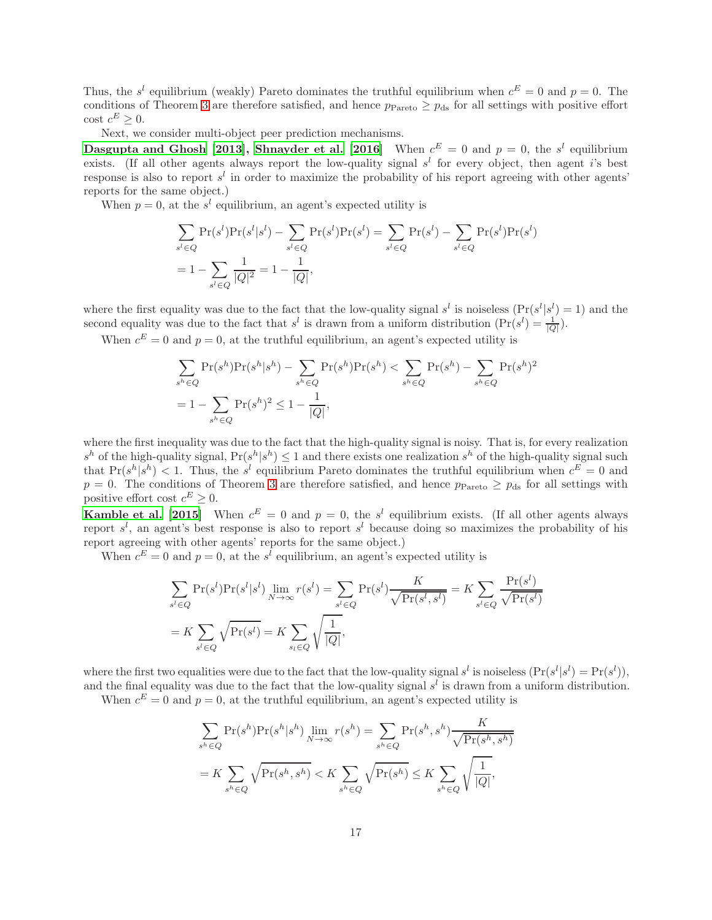Thus, the s<sup>l</sup> equilibrium (weakly) Pareto dominates the truthful equilibrium when  $c^E = 0$  and  $p = 0$ . The conditions of Theorem [3](#page-8-0) are therefore satisfied, and hence  $p_{\text{Pareto}} \geq p_{\text{ds}}$  for all settings with positive effort  $\cot c^E \geq 0.$ 

Next, we consider multi-object peer prediction mechanisms.

[Dasgupta and Ghosh \[2013](#page-9-5)], [Shnayder et al. \[2016\]](#page-11-7) When  $c^E = 0$  and  $p = 0$ , the  $s^l$  equilibrium exists. (If all other agents always report the low-quality signal  $s^l$  for every object, then agent i's best response is also to report  $s^l$  in order to maximize the probability of his report agreeing with other agents' reports for the same object.)

When  $p = 0$ , at the  $s<sup>l</sup>$  equilibrium, an agent's expected utility is

$$
\sum_{s^{l} \in Q} \Pr(s^{l}) \Pr(s^{l}|s^{l}) - \sum_{s^{l} \in Q} \Pr(s^{l}) \Pr(s^{l}) = \sum_{s^{l} \in Q} \Pr(s^{l}) - \sum_{s^{l} \in Q} \Pr(s^{l}) \Pr(s^{l})
$$

$$
= 1 - \sum_{s^{l} \in Q} \frac{1}{|Q|^{2}} = 1 - \frac{1}{|Q|},
$$

where the first equality was due to the fact that the low-quality signal  $s^l$  is noiseless  $(\Pr(s^l | s^l) = 1)$  and the second equality was due to the fact that  $s^l$  is drawn from a uniform distribution  $(\Pr(s^l) = \frac{1}{|Q|})$ .

When  $c^E = 0$  and  $p = 0$ , at the truthful equilibrium, an agent's expected utility is

$$
\sum_{s^h \in Q} \Pr(s^h) \Pr(s^h | s^h) - \sum_{s^h \in Q} \Pr(s^h) \Pr(s^h) < \sum_{s^h \in Q} \Pr(s^h) - \sum_{s^h \in Q} \Pr(s^h)^2
$$
\n
$$
= 1 - \sum_{s^h \in Q} \Pr(s^h)^2 \le 1 - \frac{1}{|Q|},
$$

where the first inequality was due to the fact that the high-quality signal is noisy. That is, for every realization  $s^h$  of the high-quality signal,  $Pr(s^h | s^h) \leq 1$  and there exists one realization  $s^h$  of the high-quality signal such that  $Pr(s^h|s^h) < 1$ . Thus, the s<sup>l</sup> equilibrium Pareto dominates the truthful equilibrium when  $c^E = 0$  and  $p = 0$ . The conditions of Theorem [3](#page-8-0) are therefore satisfied, and hence  $p_{\text{Pareto}} \ge p_{\text{ds}}$  for all settings with positive effort cost  $c^E \geq 0$ .

**Kamble et al.** [2015] When  $c^E = 0$  and  $p = 0$ , the s<sup>l</sup> equilibrium exists. (If all other agents always report  $s^l$ , an agent's best response is also to report  $s^l$  because doing so maximizes the probability of his report agreeing with other agents' reports for the same object.)

When  $c^E = 0$  and  $p = 0$ , at the s<sup>l</sup> equilibrium, an agent's expected utility is

$$
\sum_{s^l \in Q} \Pr(s^l) \Pr(s^l | s^l) \lim_{N \to \infty} r(s^l) = \sum_{s^l \in Q} \Pr(s^l) \frac{K}{\sqrt{\Pr(s^l, s^l)}} = K \sum_{s^l \in Q} \frac{\Pr(s^l)}{\sqrt{\Pr(s^l)}} = K \sum_{s^l \in Q} \sqrt{\frac{\Pr(s^l)}{\Pr(s^l)}}
$$

$$
= K \sum_{s^l \in Q} \sqrt{\Pr(s^l)} = K \sum_{s_l \in Q} \sqrt{\frac{1}{|Q|}},
$$

where the first two equalities were due to the fact that the low-quality signal  $s^l$  is noiseless  $(\Pr(s^l | s^l) = \Pr(s^l)),$ and the final equality was due to the fact that the low-quality signal  $s<sup>l</sup>$  is drawn from a uniform distribution.

When  $c^E = 0$  and  $p = 0$ , at the truthful equilibrium, an agent's expected utility is

$$
\sum_{s^h \in Q} \Pr(s^h) \Pr(s^h | s^h) \lim_{N \to \infty} r(s^h) = \sum_{s^h \in Q} \Pr(s^h, s^h) \frac{K}{\sqrt{\Pr(s^h, s^h)}}
$$

$$
= K \sum_{s^h \in Q} \sqrt{\Pr(s^h, s^h)} < K \sum_{s^h \in Q} \sqrt{\Pr(s^h)} \le K \sum_{s^h \in Q} \sqrt{\frac{1}{|Q|}},
$$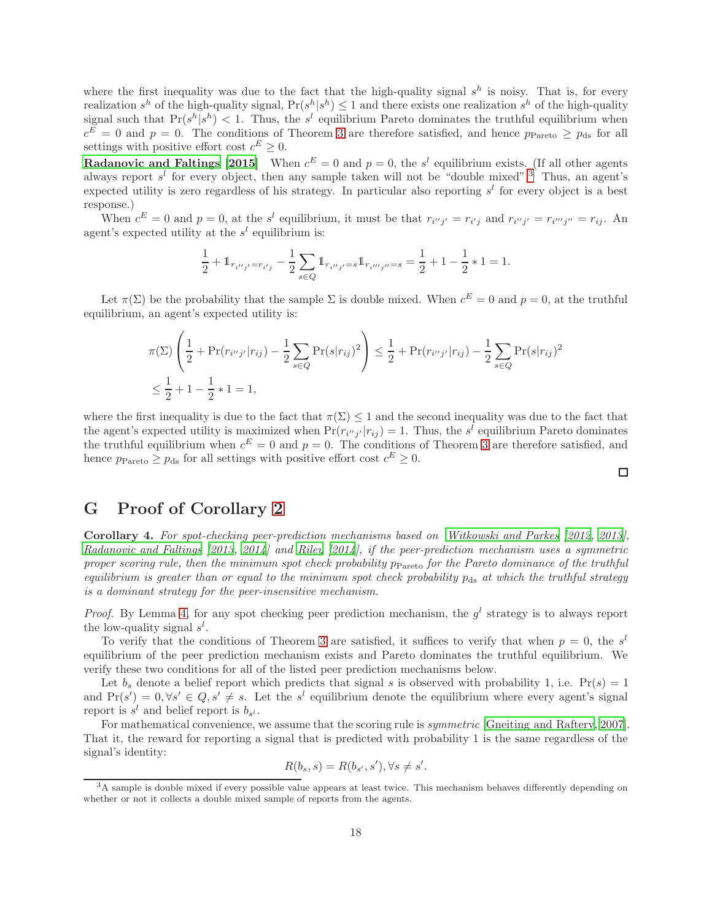where the first inequality was due to the fact that the high-quality signal  $s^h$  is noisy. That is, for every realization  $s^h$  of the high-quality signal,  $Pr(s^h|s^h) \leq 1$  and there exists one realization  $s^h$  of the high-quality signal such that  $Pr(s^h | s^h) < 1$ . Thus, the s<sup>l</sup> equilibrium Pareto dominates the truthful equilibrium when  $c^E = 0$  and  $p = 0$ . The conditions of Theorem [3](#page-8-0) are therefore satisfied, and hence  $p_{\text{Pareto}} \ge p_{\text{ds}}$  for all settings with positive effort cost  $c^E \geq 0$ .

**[Radanovic and Faltings \[2015\]](#page-10-15)** When  $c^E = 0$  and  $p = 0$ , the s<sup>l</sup> equilibrium exists. (If all other agents always report  $s^l$  for every object, then any sample taken will not be "double mixed".<sup>[3](#page-17-1)</sup> Thus, an agent's expected utility is zero regardless of his strategy. In particular also reporting  $s<sup>l</sup>$  for every object is a best response.)

When  $c^E = 0$  and  $p = 0$ , at the s<sup>l</sup> equilibrium, it must be that  $r_{i'j'} = r_{i'j}$  and  $r_{i''j'} = r_{i''j''} = r_{ij}$ . An agent's expected utility at the  $s<sup>l</sup>$  equilibrium is:

$$
\frac{1}{2} + \mathbb{1}_{r_{i''j'} = r_{i'j}} - \frac{1}{2} \sum_{s \in Q} \mathbb{1}_{r_{i''j'} = s} \mathbb{1}_{r_{i'''j''} = s} = \frac{1}{2} + 1 - \frac{1}{2} * 1 = 1.
$$

Let  $\pi(\Sigma)$  be the probability that the sample  $\Sigma$  is double mixed. When  $c^E = 0$  and  $p = 0$ , at the truthful equilibrium, an agent's expected utility is:

$$
\pi(\Sigma) \left( \frac{1}{2} + \Pr(r_{i''j'} | r_{ij}) - \frac{1}{2} \sum_{s \in Q} \Pr(s|r_{ij})^2 \right) \le \frac{1}{2} + \Pr(r_{i''j'} | r_{ij}) - \frac{1}{2} \sum_{s \in Q} \Pr(s|r_{ij})^2
$$
  

$$
\le \frac{1}{2} + 1 - \frac{1}{2} * 1 = 1,
$$

where the first inequality is due to the fact that  $\pi(\Sigma) \leq 1$  and the second inequality was due to the fact that the agent's expected utility is maximized when  $Pr(r_{i'j'}|r_{ij}) = 1$ . Thus, the s<sup>l</sup> equilibrium Pareto dominates the truthful equilibrium when  $c^E = 0$  and  $p = 0$ . The conditions of Theorem [3](#page-8-0) are therefore satisfied, and hence  $p_{\text{Pareto}} \ge p_{\text{ds}}$  for all settings with positive effort cost  $c^E \ge 0$ .

#### $\Box$

### <span id="page-17-0"></span>G Proof of Corollary [2](#page-8-6)

Corollary 4. For spot-checking peer-prediction mechanisms based on [Witkowski and Parkes \[2012](#page-11-2), [2013](#page-11-4)], [Radanovic and Faltings \[2013](#page-10-7), [2014](#page-10-8)] and [Riley \[2014](#page-10-9)], if the peer-prediction mechanism uses a symmetric proper scoring rule, then the minimum spot check probability  $p_{\text{Pareto}}$  for the Pareto dominance of the truthful equilibrium is greater than or equal to the minimum spot check probability  $p_{ds}$  at which the truthful strategy is a dominant strategy for the peer-insensitive mechanism.

*Proof.* By Lemma [4,](#page-8-4) for any spot checking peer prediction mechanism, the  $g^l$  strategy is to always report the low-quality signal  $s^l$ .

To verify that the conditions of Theorem [3](#page-8-0) are satisfied, it suffices to verify that when  $p = 0$ , the s<sup>l</sup> equilibrium of the peer prediction mechanism exists and Pareto dominates the truthful equilibrium. We verify these two conditions for all of the listed peer prediction mechanisms below.

Let  $b_s$  denote a belief report which predicts that signal s is observed with probability 1, i.e.  $Pr(s) = 1$ and  $Pr(s') = 0, \forall s' \in Q, s' \neq s$ . Let the s<sup>l</sup> equilibrium denote the equilibrium where every agent's signal report is  $s^l$  and belief report is  $b_{s^l}$ .

For mathematical convenience, we assume that the scoring rule is symmetric [\[Gneiting and Raftery](#page-10-17), [2007\]](#page-10-17). That it, the reward for reporting a signal that is predicted with probability 1 is the same regardless of the signal's identity:

$$
R(b_s, s) = R(b_{s'}, s'), \forall s \neq s'.
$$

<span id="page-17-1"></span><sup>3</sup>A sample is double mixed if every possible value appears at least twice. This mechanism behaves differently depending on whether or not it collects a double mixed sample of reports from the agents.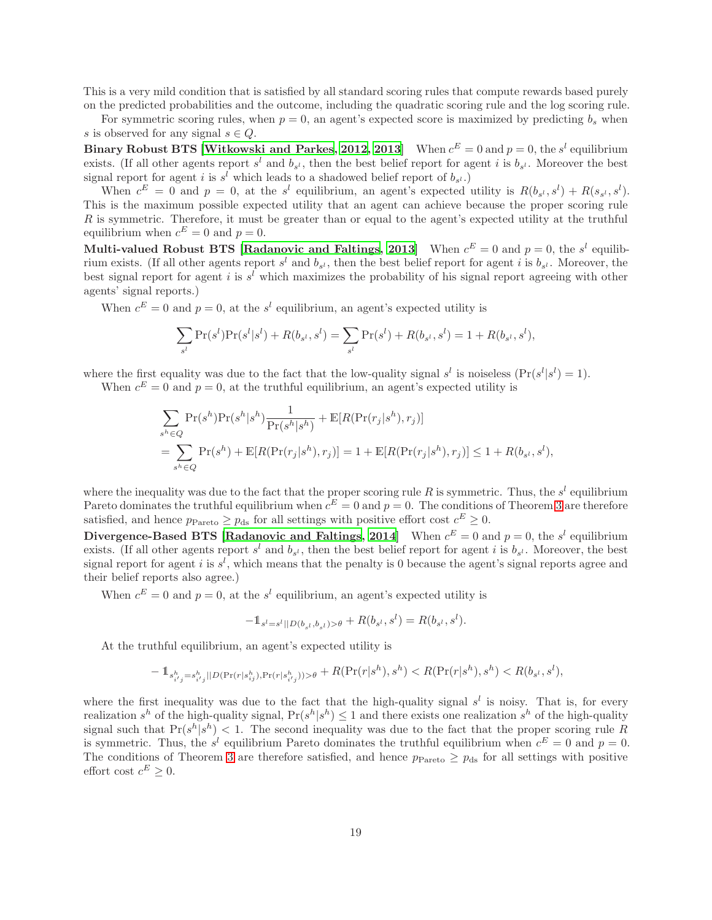This is a very mild condition that is satisfied by all standard scoring rules that compute rewards based purely on the predicted probabilities and the outcome, including the quadratic scoring rule and the log scoring rule.

For symmetric scoring rules, when  $p = 0$ , an agent's expected score is maximized by predicting  $b_s$  when s is observed for any signal  $s \in Q$ .

**Binary Robust BTS [\[Witkowski and Parkes](#page-11-2), [2012](#page-11-2), [2013\]](#page-11-4)** When  $c^E = 0$  and  $p = 0$ , the s<sup>l</sup> equilibrium exists. (If all other agents report  $s^l$  and  $b_{s^l}$ , then the best belief report for agent i is  $b_{s^l}$ . Moreover the best signal report for agent i is  $s^l$  which leads to a shadowed belief report of  $b_{s^l}$ .

When  $c^E = 0$  and  $p = 0$ , at the s<sup>l</sup> equilibrium, an agent's expected utility is  $R(b_{s^l}, s^l) + R(s_{s^l}, s^l)$ . This is the maximum possible expected utility that an agent can achieve because the proper scoring rule R is symmetric. Therefore, it must be greater than or equal to the agent's expected utility at the truthful equilibrium when  $c^E = 0$  and  $p = 0$ .

Multi-valued Robust BTS [\[Radanovic and Faltings, 2013\]](#page-10-7) When  $c^E = 0$  and  $p = 0$ , the  $s^l$  equilibrium exists. (If all other agents report  $s^l$  and  $b_{s^l}$ , then the best belief report for agent i is  $b_{s^l}$ . Moreover, the best signal report for agent i is  $s^l$  which maximizes the probability of his signal report agreeing with other agents' signal reports.)

When  $c^E = 0$  and  $p = 0$ , at the s<sup>l</sup> equilibrium, an agent's expected utility is

$$
\sum_{s^l} \Pr(s^l) \Pr(s^l | s^l) + R(b_{s^l}, s^l) = \sum_{s^l} \Pr(s^l) + R(b_{s^l}, s^l) = 1 + R(b_{s^l}, s^l),
$$

where the first equality was due to the fact that the low-quality signal  $s^l$  is noiseless  $(\Pr(s^l | s^l) = 1)$ .

When  $c^E = 0$  and  $p = 0$ , at the truthful equilibrium, an agent's expected utility is

$$
\sum_{s^h \in Q} \Pr(s^h) \Pr(s^h | s^h) \frac{1}{\Pr(s^h | s^h)} + \mathbb{E}[R(\Pr(r_j | s^h), r_j)]
$$
  
= 
$$
\sum_{s^h \in Q} \Pr(s^h) + \mathbb{E}[R(\Pr(r_j | s^h), r_j)] = 1 + \mathbb{E}[R(\Pr(r_j | s^h), r_j)] \le 1 + R(b_{s^l}, s^l),
$$

where the inequality was due to the fact that the proper scoring rule R is symmetric. Thus, the  $s^l$  equilibrium Pareto dominates the truthful equilibrium when  $c^E = 0$  and  $p = 0$ . The conditions of Theorem [3](#page-8-0) are therefore satisfied, and hence  $p_{\text{Pareto}} \ge p_{\text{ds}}$  for all settings with positive effort cost  $c^E \ge 0$ .

Divergence-Based BTS [\[Radanovic and Faltings](#page-10-8), [2014\]](#page-10-8) When  $c^E = 0$  and  $p = 0$ , the s<sup>l</sup> equilibrium exists. (If all other agents report  $s^l$  and  $b_{s^l}$ , then the best belief report for agent i is  $b_{s^l}$ . Moreover, the best signal report for agent i is  $s^l$ , which means that the penalty is 0 because the agent's signal reports agree and their belief reports also agree.)

When  $c^E = 0$  and  $p = 0$ , at the s<sup>l</sup> equilibrium, an agent's expected utility is

$$
-\mathbb{1}_{s^l=s^l||D(b_{s^l},b_{s^l})>\theta}+R(b_{s^l},s^l)=R(b_{s^l},s^l).
$$

At the truthful equilibrium, an agent's expected utility is

$$
-\mathbb{1}_{s_{i'j}^h = s_{i'j}^h} |\text{D}(\Pr(r|s_{ij}^h), \Pr(r|s_{i'j}^h)) > \theta + R(\Pr(r|s^h), s^h) < R(\Pr(r|s^h), s^h) < R(b_{s^l}, s^l),
$$

where the first inequality was due to the fact that the high-quality signal  $s^l$  is noisy. That is, for every realization  $s^h$  of the high-quality signal,  $Pr(s^h|s^h) \leq 1$  and there exists one realization  $s^h$  of the high-quality signal such that  $Pr(s^h | s^h) < 1$ . The second inequality was due to the fact that the proper scoring rule R is symmetric. Thus, the s<sup>l</sup> equilibrium Pareto dominates the truthful equilibrium when  $c^E = 0$  and  $p = 0$ . The conditions of Theorem [3](#page-8-0) are therefore satisfied, and hence  $p_{\text{Pareto}} \geq p_{\text{ds}}$  for all settings with positive effort cost  $c^E \geq 0$ .